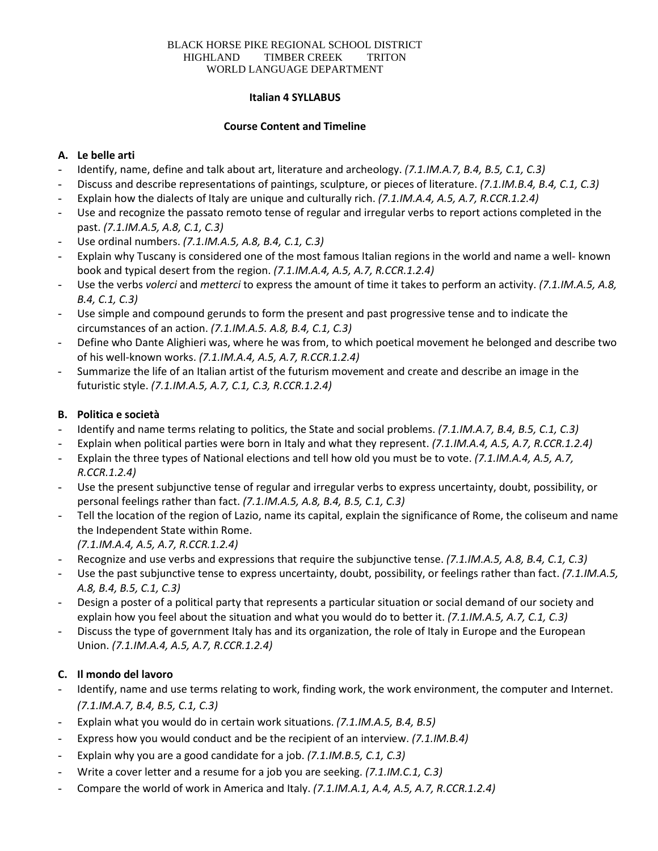#### BLACK HORSE PIKE REGIONAL SCHOOL DISTRICT HIGHLAND TIMBER CREEK TRITON WORLD LANGUAGE DEPARTMENT

#### **Italian 4 SYLLABUS**

#### **Course Content and Timeline**

# **A. Le belle arti**

- Identify, name, define and talk about art, literature and archeology. *(7.1.IM.A.7, B.4, B.5, C.1, C.3)*
- Discuss and describe representations of paintings, sculpture, or pieces of literature. *(7.1.IM.B.4, B.4, C.1, C.3)*
- Explain how the dialects of Italy are unique and culturally rich. *(7.1.IM.A.4, A.5, A.7, R.CCR.1.2.4)*
- Use and recognize the passato remoto tense of regular and irregular verbs to report actions completed in the past. *(7.1.IM.A.5, A.8, C.1, C.3)*
- Use ordinal numbers. *(7.1.IM.A.5, A.8, B.4, C.1, C.3)*
- Explain why Tuscany is considered one of the most famous Italian regions in the world and name a well- known book and typical desert from the region. *(7.1.IM.A.4, A.5, A.7, R.CCR.1.2.4)*
- Use the verbs *volerci* and *metterci* to express the amount of time it takes to perform an activity. *(7.1.IM.A.5, A.8, B.4, C.1, C.3)*
- Use simple and compound gerunds to form the present and past progressive tense and to indicate the circumstances of an action. *(7.1.IM.A.5. A.8, B.4, C.1, C.3)*
- Define who Dante Alighieri was, where he was from, to which poetical movement he belonged and describe two of his well-known works. *(7.1.IM.A.4, A.5, A.7, R.CCR.1.2.4)*
- Summarize the life of an Italian artist of the futurism movement and create and describe an image in the futuristic style. *(7.1.IM.A.5, A.7, C.1, C.3, R.CCR.1.2.4)*

# **B. Politica e società**

- Identify and name terms relating to politics, the State and social problems. *(7.1.IM.A.7, B.4, B.5, C.1, C.3)*
- Explain when political parties were born in Italy and what they represent. *(7.1.IM.A.4, A.5, A.7, R.CCR.1.2.4)*
- Explain the three types of National elections and tell how old you must be to vote. *(7.1.IM.A.4, A.5, A.7, R.CCR.1.2.4)*
- Use the present subjunctive tense of regular and irregular verbs to express uncertainty, doubt, possibility, or personal feelings rather than fact. *(7.1.IM.A.5, A.8, B.4, B.5, C.1, C.3)*
- Tell the location of the region of Lazio, name its capital, explain the significance of Rome, the coliseum and name the Independent State within Rome.
	- *(7.1.IM.A.4, A.5, A.7, R.CCR.1.2.4)*
- Recognize and use verbs and expressions that require the subjunctive tense. *(7.1.IM.A.5, A.8, B.4, C.1, C.3)*
- Use the past subjunctive tense to express uncertainty, doubt, possibility, or feelings rather than fact. *(7.1.IM.A.5, A.8, B.4, B.5, C.1, C.3)*
- Design a poster of a political party that represents a particular situation or social demand of our society and explain how you feel about the situation and what you would do to better it. *(7.1.IM.A.5, A.7, C.1, C.3)*
- Discuss the type of government Italy has and its organization, the role of Italy in Europe and the European Union. *(7.1.IM.A.4, A.5, A.7, R.CCR.1.2.4)*

# **C. Il mondo del lavoro**

- Identify, name and use terms relating to work, finding work, the work environment, the computer and Internet. *(7.1.IM.A.7, B.4, B.5, C.1, C.3)*
- Explain what you would do in certain work situations. *(7.1.IM.A.5, B.4, B.5)*
- Express how you would conduct and be the recipient of an interview. *(7.1.IM.B.4)*
- Explain why you are a good candidate for a job. *(7.1.IM.B.5, C.1, C.3)*
- Write a cover letter and a resume for a job you are seeking. *(7.1.IM.C.1, C.3)*
- Compare the world of work in America and Italy. *(7.1.IM.A.1, A.4, A.5, A.7, R.CCR.1.2.4)*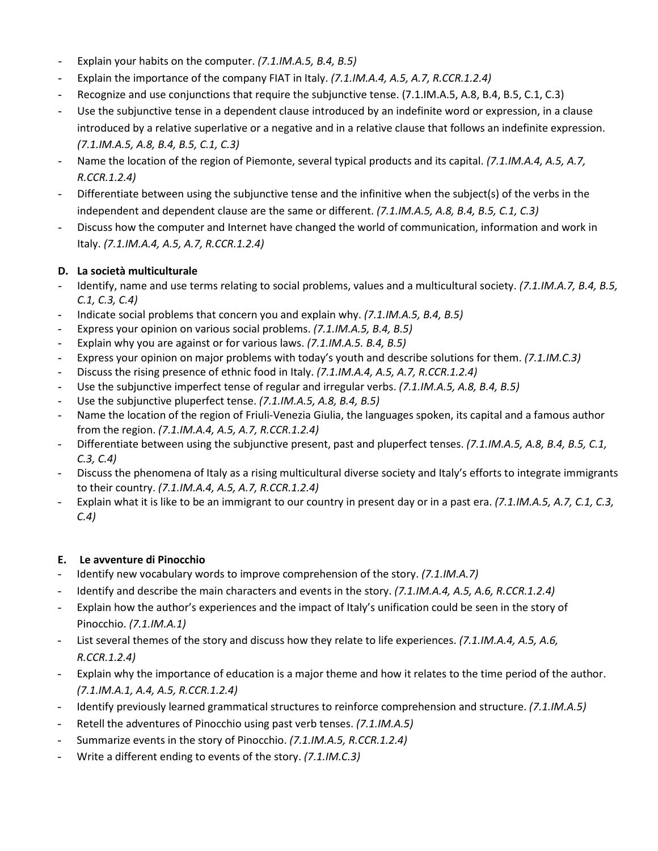- Explain your habits on the computer. *(7.1.IM.A.5, B.4, B.5)*
- Explain the importance of the company FIAT in Italy. *(7.1.IM.A.4, A.5, A.7, R.CCR.1.2.4)*
- Recognize and use conjunctions that require the subjunctive tense. (7.1.IM.A.5, A.8, B.4, B.5, C.1, C.3)
- Use the subjunctive tense in a dependent clause introduced by an indefinite word or expression, in a clause introduced by a relative superlative or a negative and in a relative clause that follows an indefinite expression. *(7.1.IM.A.5, A.8, B.4, B.5, C.1, C.3)*
- Name the location of the region of Piemonte, several typical products and its capital. *(7.1.IM.A.4, A.5, A.7, R.CCR.1.2.4)*
- Differentiate between using the subjunctive tense and the infinitive when the subject(s) of the verbs in the independent and dependent clause are the same or different. *(7.1.IM.A.5, A.8, B.4, B.5, C.1, C.3)*
- Discuss how the computer and Internet have changed the world of communication, information and work in Italy. *(7.1.IM.A.4, A.5, A.7, R.CCR.1.2.4)*

# **D. La società multiculturale**

- Identify, name and use terms relating to social problems, values and a multicultural society. *(7.1.IM.A.7, B.4, B.5, C.1, C.3, C.4)*
- Indicate social problems that concern you and explain why. *(7.1.IM.A.5, B.4, B.5)*
- Express your opinion on various social problems. *(7.1.IM.A.5, B.4, B.5)*
- Explain why you are against or for various laws. *(7.1.IM.A.5. B.4, B.5)*
- Express your opinion on major problems with today's youth and describe solutions for them. *(7.1.IM.C.3)*
- Discuss the rising presence of ethnic food in Italy. *(7.1.IM.A.4, A.5, A.7, R.CCR.1.2.4)*
- Use the subjunctive imperfect tense of regular and irregular verbs. *(7.1.IM.A.5, A.8, B.4, B.5)*
- Use the subjunctive pluperfect tense. *(7.1.IM.A.5, A.8, B.4, B.5)*
- Name the location of the region of Friuli-Venezia Giulia, the languages spoken, its capital and a famous author from the region. *(7.1.IM.A.4, A.5, A.7, R.CCR.1.2.4)*
- Differentiate between using the subjunctive present, past and pluperfect tenses. *(7.1.IM.A.5, A.8, B.4, B.5, C.1, C.3, C.4)*
- Discuss the phenomena of Italy as a rising multicultural diverse society and Italy's efforts to integrate immigrants to their country. *(7.1.IM.A.4, A.5, A.7, R.CCR.1.2.4)*
- Explain what it is like to be an immigrant to our country in present day or in a past era. *(7.1.IM.A.5, A.7, C.1, C.3, C.4)*

# **E. Le avventure di Pinocchio**

- Identify new vocabulary words to improve comprehension of the story. *(7.1.IM.A.7)*
- Identify and describe the main characters and events in the story. *(7.1.IM.A.4, A.5, A.6, R.CCR.1.2.4)*
- Explain how the author's experiences and the impact of Italy's unification could be seen in the story of Pinocchio. *(7.1.IM.A.1)*
- List several themes of the story and discuss how they relate to life experiences. *(7.1.IM.A.4, A.5, A.6, R.CCR.1.2.4)*
- Explain why the importance of education is a major theme and how it relates to the time period of the author. *(7.1.IM.A.1, A.4, A.5, R.CCR.1.2.4)*
- Identify previously learned grammatical structures to reinforce comprehension and structure. *(7.1.IM.A.5)*
- Retell the adventures of Pinocchio using past verb tenses. *(7.1.IM.A.5)*
- Summarize events in the story of Pinocchio. *(7.1.IM.A.5, R.CCR.1.2.4)*
- Write a different ending to events of the story. *(7.1.IM.C.3)*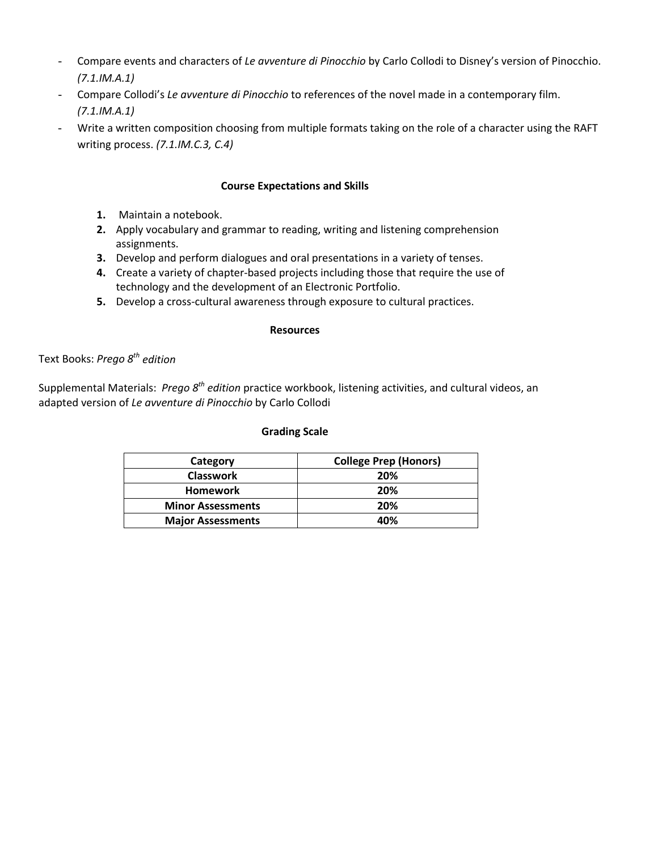- Compare events and characters of *Le avventure di Pinocchio* by Carlo Collodi to Disney's version of Pinocchio. *(7.1.IM.A.1)*
- Compare Collodi's *Le avventure di Pinocchio* to references of the novel made in a contemporary film. *(7.1.IM.A.1)*
- Write a written composition choosing from multiple formats taking on the role of a character using the RAFT writing process. *(7.1.IM.C.3, C.4)*

### **Course Expectations and Skills**

- **1.** Maintain a notebook.
- **2.** Apply vocabulary and grammar to reading, writing and listening comprehension assignments.
- **3.** Develop and perform dialogues and oral presentations in a variety of tenses.
- **4.** Create a variety of chapter-based projects including those that require the use of technology and the development of an Electronic Portfolio.
- **5.** Develop a cross-cultural awareness through exposure to cultural practices.

#### **Resources**

Text Books: *Prego 8th edition*

Supplemental Materials: *Prego 8th edition* practice workbook, listening activities, and cultural videos, an adapted version of *Le avventure di Pinocchio* by Carlo Collodi

#### **Grading Scale**

| Category                 | <b>College Prep (Honors)</b> |
|--------------------------|------------------------------|
| <b>Classwork</b>         | 20%                          |
| <b>Homework</b>          | 20%                          |
| <b>Minor Assessments</b> | 20%                          |
| <b>Major Assessments</b> | 40%                          |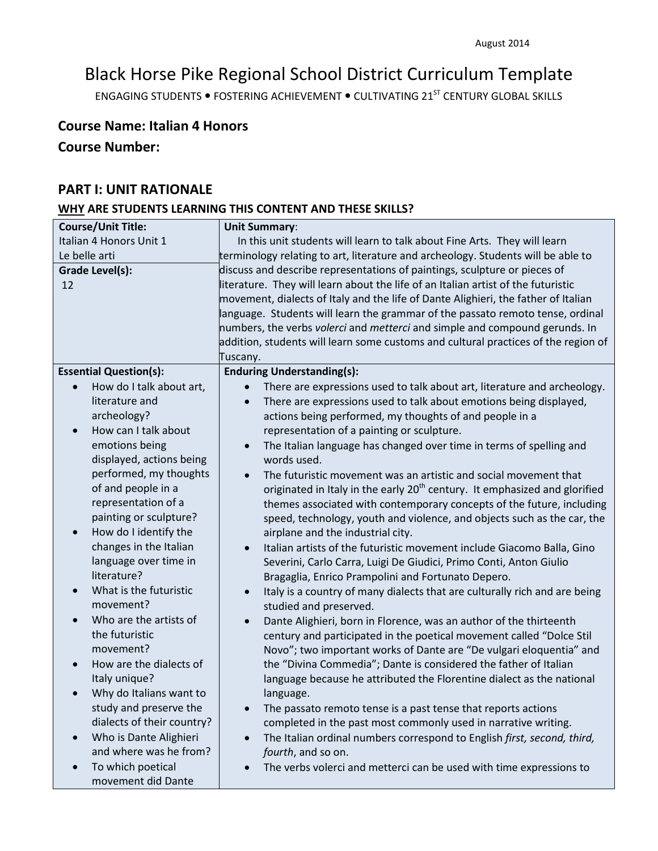# Black Horse Pike Regional School District Curriculum Template

ENGAGING STUDENTS . FOSTERING ACHIEVEMENT . CULTIVATING 21<sup>ST</sup> CENTURY GLOBAL SKILLS

# **Course Name: Italian 4 Honors**

# **Course Number:**

# **PART I: UNIT RATIONALE**

# **WHY ARE STUDENTS LEARNING THIS CONTENT AND THESE SKILLS?**

| <b>Course/Unit Title:</b>                       | <b>Unit Summary:</b>                                                                                 |
|-------------------------------------------------|------------------------------------------------------------------------------------------------------|
| Italian 4 Honors Unit 1                         | In this unit students will learn to talk about Fine Arts. They will learn                            |
| Le belle arti                                   | terminology relating to art, literature and archeology. Students will be able to                     |
| Grade Level(s):                                 | discuss and describe representations of paintings, sculpture or pieces of                            |
| 12                                              | literature. They will learn about the life of an Italian artist of the futuristic                    |
|                                                 | movement, dialects of Italy and the life of Dante Alighieri, the father of Italian                   |
|                                                 | language. Students will learn the grammar of the passato remoto tense, ordinal                       |
|                                                 | numbers, the verbs volerci and metterci and simple and compound gerunds. In                          |
|                                                 | addition, students will learn some customs and cultural practices of the region of                   |
|                                                 | Tuscany.                                                                                             |
| <b>Essential Question(s):</b>                   | <b>Enduring Understanding(s):</b>                                                                    |
| How do I talk about art,                        | There are expressions used to talk about art, literature and archeology.                             |
| literature and                                  | There are expressions used to talk about emotions being displayed,<br>$\bullet$                      |
| archeology?                                     | actions being performed, my thoughts of and people in a                                              |
| How can I talk about<br>$\bullet$               | representation of a painting or sculpture.                                                           |
| emotions being                                  | The Italian language has changed over time in terms of spelling and<br>$\bullet$                     |
| displayed, actions being                        | words used.                                                                                          |
| performed, my thoughts                          | The futuristic movement was an artistic and social movement that                                     |
| of and people in a                              | originated in Italy in the early 20 <sup>th</sup> century. It emphasized and glorified               |
| representation of a                             | themes associated with contemporary concepts of the future, including                                |
| painting or sculpture?                          | speed, technology, youth and violence, and objects such as the car, the                              |
| How do I identify the<br>$\bullet$              | airplane and the industrial city.                                                                    |
| changes in the Italian<br>language over time in | Italian artists of the futuristic movement include Giacomo Balla, Gino<br>$\bullet$                  |
| literature?                                     | Severini, Carlo Carra, Luigi De Giudici, Primo Conti, Anton Giulio                                   |
| What is the futuristic                          | Bragaglia, Enrico Prampolini and Fortunato Depero.                                                   |
| movement?                                       | Italy is a country of many dialects that are culturally rich and are being<br>studied and preserved. |
| Who are the artists of<br>$\bullet$             | Dante Alighieri, born in Florence, was an author of the thirteenth<br>$\bullet$                      |
| the futuristic                                  | century and participated in the poetical movement called "Dolce Stil                                 |
| movement?                                       | Novo"; two important works of Dante are "De vulgari eloquentia" and                                  |
| How are the dialects of<br>$\bullet$            | the "Divina Commedia"; Dante is considered the father of Italian                                     |
| Italy unique?                                   | language because he attributed the Florentine dialect as the national                                |
| Why do Italians want to                         | language.                                                                                            |
| study and preserve the                          | The passato remoto tense is a past tense that reports actions                                        |
| dialects of their country?                      | completed in the past most commonly used in narrative writing.                                       |
| Who is Dante Alighieri                          | The Italian ordinal numbers correspond to English first, second, third,                              |
| and where was he from?                          | fourth, and so on.                                                                                   |
| To which poetical<br>$\bullet$                  | The verbs volerci and metterci can be used with time expressions to                                  |
| movement did Dante                              |                                                                                                      |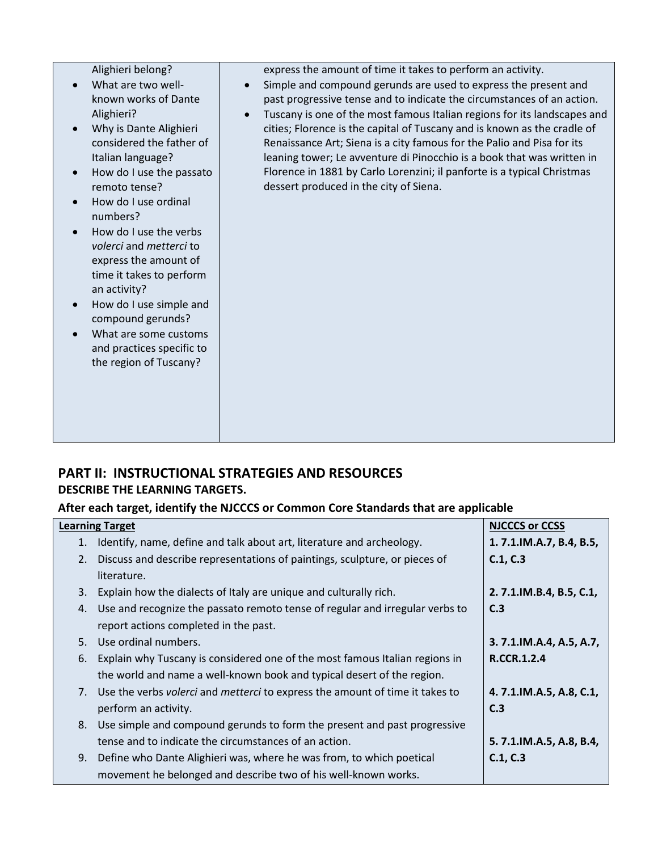Alighieri belong?

- What are two wellknown works of Dante Alighieri?
- Why is Dante Alighieri considered the father of Italian language?
- How do I use the passato remoto tense?
- How do I use ordinal numbers?
- How do I use the verbs *volerci* and *metterci* to express the amount of time it takes to perform an activity?
- How do I use simple and compound gerunds?
- What are some customs and practices specific to the region of Tuscany?

express the amount of time it takes to perform an activity.

- Simple and compound gerunds are used to express the present and past progressive tense and to indicate the circumstances of an action.
- Tuscany is one of the most famous Italian regions for its landscapes and cities; Florence is the capital of Tuscany and is known as the cradle of Renaissance Art; Siena is a city famous for the Palio and Pisa for its leaning tower; Le avventure di Pinocchio is a book that was written in Florence in 1881 by Carlo Lorenzini; il panforte is a typical Christmas dessert produced in the city of Siena.

# **PART II: INSTRUCTIONAL STRATEGIES AND RESOURCES DESCRIBE THE LEARNING TARGETS.**

# **After each target, identify the NJCCCS or Common Core Standards that are applicable**

|    | <b>Learning Target</b>                                                       | <b>NJCCCS or CCSS</b>   |
|----|------------------------------------------------------------------------------|-------------------------|
| 1. | Identify, name, define and talk about art, literature and archeology.        | 1.7.1.IM.A.7, B.4, B.5, |
| 2. | Discuss and describe representations of paintings, sculpture, or pieces of   | C.1, C.3                |
|    | literature.                                                                  |                         |
| 3. | Explain how the dialects of Italy are unique and culturally rich.            | 2.7.1.IM.B.4, B.5, C.1, |
| 4. | Use and recognize the passato remoto tense of regular and irregular verbs to | C.3                     |
|    | report actions completed in the past.                                        |                         |
| 5. | Use ordinal numbers.                                                         | 3.7.1.IM.A.4, A.5, A.7, |
| 6. | Explain why Tuscany is considered one of the most famous Italian regions in  | <b>R.CCR.1.2.4</b>      |
|    | the world and name a well-known book and typical desert of the region.       |                         |
| 7. | Use the verbs volerci and metterci to express the amount of time it takes to | 4.7.1.IM.A.5, A.8, C.1, |
|    | perform an activity.                                                         | C.3                     |
| 8. | Use simple and compound gerunds to form the present and past progressive     |                         |
|    | tense and to indicate the circumstances of an action.                        | 5.7.1.IM.A.5, A.8, B.4, |
| 9. | Define who Dante Alighieri was, where he was from, to which poetical         | C.1, C.3                |
|    | movement he belonged and describe two of his well-known works.               |                         |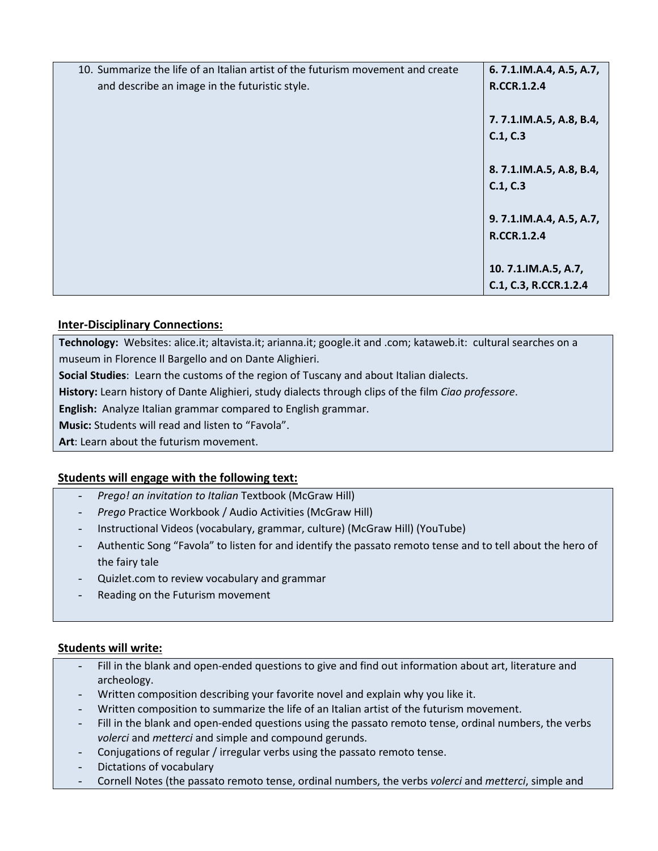| 10. Summarize the life of an Italian artist of the futurism movement and create | 6.7.1.IM.A.4, A.5, A.7,  |
|---------------------------------------------------------------------------------|--------------------------|
| and describe an image in the futuristic style.                                  | R.CCR.1.2.4              |
|                                                                                 |                          |
|                                                                                 | 7.7.1.IM.A.5, A.8, B.4,  |
|                                                                                 | C.1, C.3                 |
|                                                                                 |                          |
|                                                                                 | 8.7.1.IM.A.5, A.8, B.4,  |
|                                                                                 | C.1, C.3                 |
|                                                                                 |                          |
|                                                                                 | 9. 7.1.IM.A.4, A.5, A.7, |
|                                                                                 | <b>R.CCR.1.2.4</b>       |
|                                                                                 |                          |
|                                                                                 | 10.7.1.IM.A.5, A.7,      |
|                                                                                 | C.1, C.3, R.CCR.1.2.4    |

# **Inter-Disciplinary Connections:**

**Technology:** Websites: alice.it; altavista.it; arianna.it; google.it and .com; kataweb.it: cultural searches on a museum in Florence Il Bargello and on Dante Alighieri.

**Social Studies**: Learn the customs of the region of Tuscany and about Italian dialects.

**History:** Learn history of Dante Alighieri, study dialects through clips of the film *Ciao professore*.

**English:** Analyze Italian grammar compared to English grammar.

**Music:** Students will read and listen to "Favola".

**Art**: Learn about the futurism movement.

# **Students will engage with the following text:**

- *Prego! an invitation to Italian* Textbook (McGraw Hill)
- *Prego* Practice Workbook / Audio Activities (McGraw Hill)
- Instructional Videos (vocabulary, grammar, culture) (McGraw Hill) (YouTube)
- Authentic Song "Favola" to listen for and identify the passato remoto tense and to tell about the hero of the fairy tale
- Quizlet.com to review vocabulary and grammar
- Reading on the Futurism movement

#### **Students will write:**

- Fill in the blank and open-ended questions to give and find out information about art, literature and archeology.
- Written composition describing your favorite novel and explain why you like it.
- Written composition to summarize the life of an Italian artist of the futurism movement.
- Fill in the blank and open-ended questions using the passato remoto tense, ordinal numbers, the verbs *volerci* and *metterci* and simple and compound gerunds.
- Conjugations of regular / irregular verbs using the passato remoto tense.
- Dictations of vocabulary
- Cornell Notes (the passato remoto tense, ordinal numbers, the verbs *volerci* and *metterci*, simple and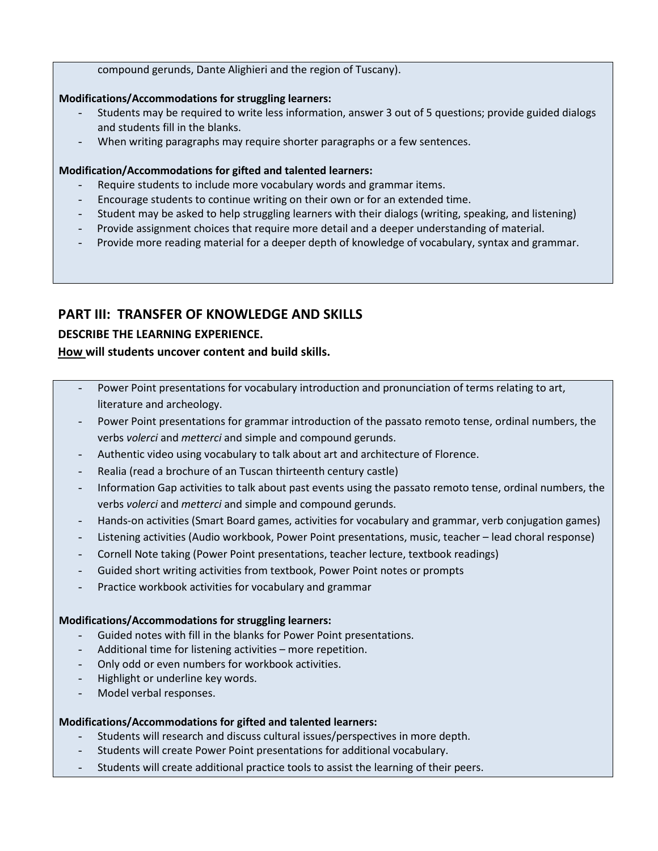#### compound gerunds, Dante Alighieri and the region of Tuscany).

#### **Modifications/Accommodations for struggling learners:**

- Students may be required to write less information, answer 3 out of 5 questions; provide guided dialogs and students fill in the blanks.
- When writing paragraphs may require shorter paragraphs or a few sentences.

#### **Modification/Accommodations for gifted and talented learners:**

- Require students to include more vocabulary words and grammar items.
- Encourage students to continue writing on their own or for an extended time.
- Student may be asked to help struggling learners with their dialogs (writing, speaking, and listening)
- Provide assignment choices that require more detail and a deeper understanding of material.
- Provide more reading material for a deeper depth of knowledge of vocabulary, syntax and grammar.

# **PART III: TRANSFER OF KNOWLEDGE AND SKILLS**

# **DESCRIBE THE LEARNING EXPERIENCE.**

# **How will students uncover content and build skills.**

- Power Point presentations for vocabulary introduction and pronunciation of terms relating to art, literature and archeology.
- Power Point presentations for grammar introduction of the passato remoto tense, ordinal numbers, the verbs *volerci* and *metterci* and simple and compound gerunds.
- Authentic video using vocabulary to talk about art and architecture of Florence.
- Realia (read a brochure of an Tuscan thirteenth century castle)
- Information Gap activities to talk about past events using the passato remoto tense, ordinal numbers, the verbs *volerci* and *metterci* and simple and compound gerunds.
- Hands-on activities (Smart Board games, activities for vocabulary and grammar, verb conjugation games)
- Listening activities (Audio workbook, Power Point presentations, music, teacher lead choral response)
- Cornell Note taking (Power Point presentations, teacher lecture, textbook readings)
- Guided short writing activities from textbook, Power Point notes or prompts
- Practice workbook activities for vocabulary and grammar

#### **Modifications/Accommodations for struggling learners:**

- Guided notes with fill in the blanks for Power Point presentations.
- Additional time for listening activities more repetition.
- Only odd or even numbers for workbook activities.
- Highlight or underline key words.
- Model verbal responses.

#### **Modifications/Accommodations for gifted and talented learners:**

- Students will research and discuss cultural issues/perspectives in more depth.
- Students will create Power Point presentations for additional vocabulary.
- Students will create additional practice tools to assist the learning of their peers.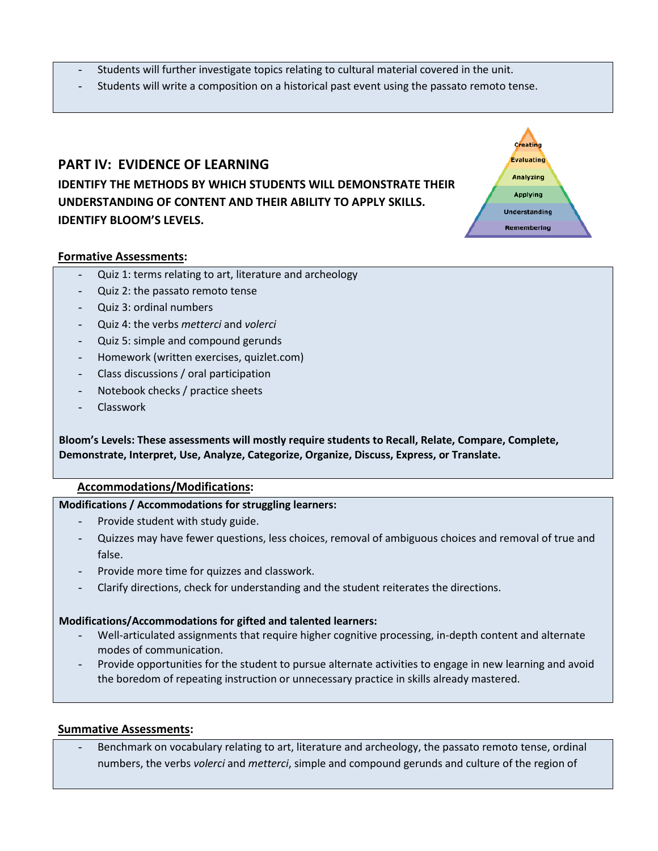- Students will further investigate topics relating to cultural material covered in the unit.
- Students will write a composition on a historical past event using the passato remoto tense.

Creatin Evaluating Analyzing **Applying Understanding** Remembering

# **PART IV: EVIDENCE OF LEARNING IDENTIFY THE METHODS BY WHICH STUDENTS WILL DEMONSTRATE THEIR UNDERSTANDING OF CONTENT AND THEIR ABILITY TO APPLY SKILLS. IDENTIFY BLOOM'S LEVELS.**

# **Formative Assessments:**

- Quiz 1: terms relating to art, literature and archeology
- Quiz 2: the passato remoto tense
- Quiz 3: ordinal numbers
- Quiz 4: the verbs *metterci* and *volerci*
- Quiz 5: simple and compound gerunds
- Homework (written exercises, quizlet.com)
- Class discussions / oral participation
- Notebook checks / practice sheets
- **Classwork**

**Bloom's Levels: These assessments will mostly require students to Recall, Relate, Compare, Complete, Demonstrate, Interpret, Use, Analyze, Categorize, Organize, Discuss, Express, or Translate.**

#### **Accommodations/Modifications:**

#### **Modifications / Accommodations for struggling learners:**

- Provide student with study guide.
- Quizzes may have fewer questions, less choices, removal of ambiguous choices and removal of true and false.
- Provide more time for quizzes and classwork.
- Clarify directions, check for understanding and the student reiterates the directions.

#### **Modifications/Accommodations for gifted and talented learners:**

- Well-articulated assignments that require higher cognitive processing, in-depth content and alternate modes of communication.
- Provide opportunities for the student to pursue alternate activities to engage in new learning and avoid the boredom of repeating instruction or unnecessary practice in skills already mastered.

#### **Summative Assessments:**

Benchmark on vocabulary relating to art, literature and archeology, the passato remoto tense, ordinal numbers, the verbs *volerci* and *metterci*, simple and compound gerunds and culture of the region of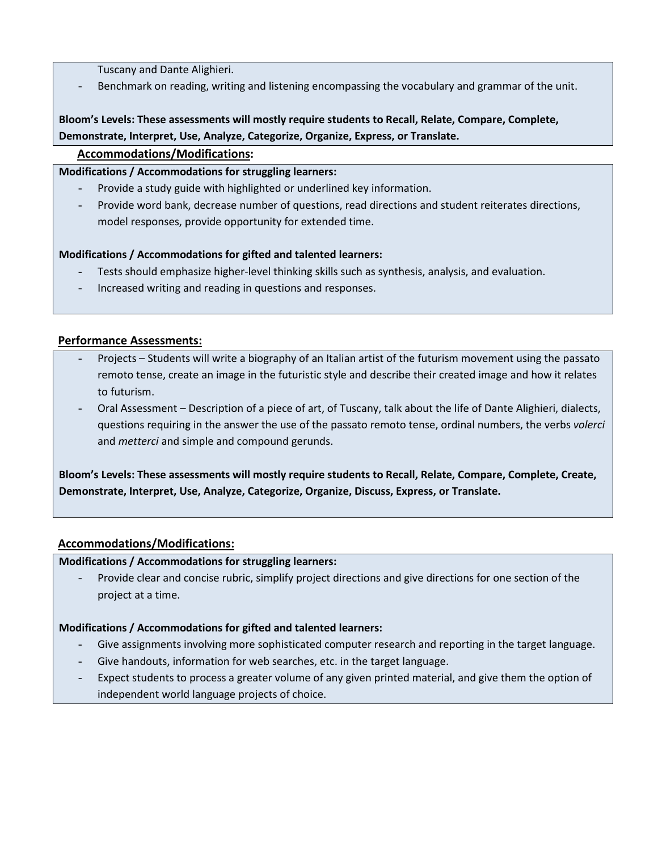Tuscany and Dante Alighieri.

Benchmark on reading, writing and listening encompassing the vocabulary and grammar of the unit.

# **Bloom's Levels: These assessments will mostly require students to Recall, Relate, Compare, Complete, Demonstrate, Interpret, Use, Analyze, Categorize, Organize, Express, or Translate.**

# **Accommodations/Modifications:**

# **Modifications / Accommodations for struggling learners:**

- Provide a study guide with highlighted or underlined key information.
- Provide word bank, decrease number of questions, read directions and student reiterates directions, model responses, provide opportunity for extended time.

# **Modifications / Accommodations for gifted and talented learners:**

- Tests should emphasize higher-level thinking skills such as synthesis, analysis, and evaluation.
- Increased writing and reading in questions and responses.

# **Performance Assessments:**

- Projects Students will write a biography of an Italian artist of the futurism movement using the passato remoto tense, create an image in the futuristic style and describe their created image and how it relates to futurism.
- Oral Assessment Description of a piece of art, of Tuscany, talk about the life of Dante Alighieri, dialects, questions requiring in the answer the use of the passato remoto tense, ordinal numbers, the verbs *volerci* and *metterci* and simple and compound gerunds.

**Bloom's Levels: These assessments will mostly require students to Recall, Relate, Compare, Complete, Create, Demonstrate, Interpret, Use, Analyze, Categorize, Organize, Discuss, Express, or Translate.**

# **Accommodations/Modifications:**

# **Modifications / Accommodations for struggling learners:**

Provide clear and concise rubric, simplify project directions and give directions for one section of the project at a time.

# **Modifications / Accommodations for gifted and talented learners:**

- Give assignments involving more sophisticated computer research and reporting in the target language.
- Give handouts, information for web searches, etc. in the target language.
- Expect students to process a greater volume of any given printed material, and give them the option of independent world language projects of choice.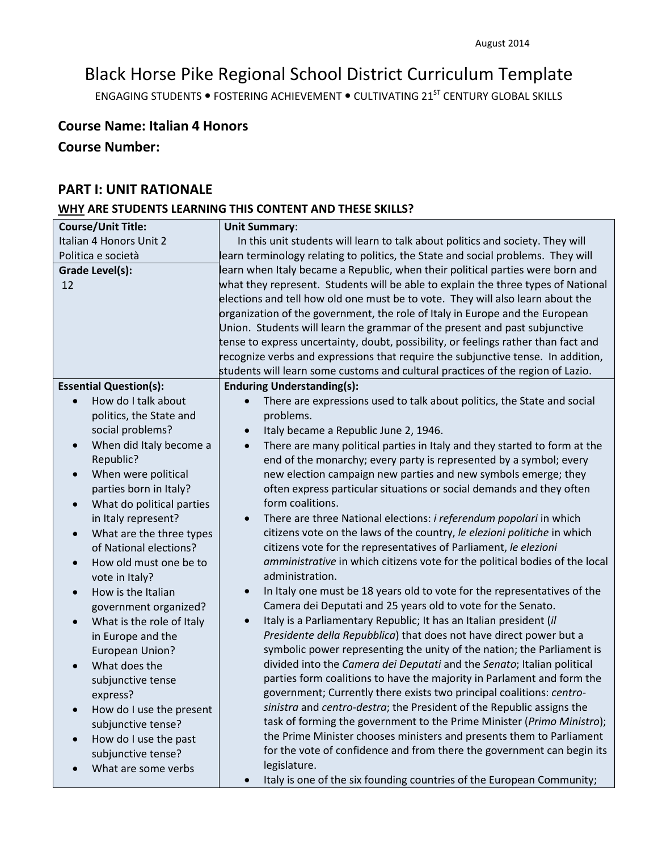# Black Horse Pike Regional School District Curriculum Template

ENGAGING STUDENTS . FOSTERING ACHIEVEMENT . CULTIVATING 21<sup>ST</sup> CENTURY GLOBAL SKILLS

# **Course Name: Italian 4 Honors**

# **Course Number:**

# **PART I: UNIT RATIONALE**

# **WHY ARE STUDENTS LEARNING THIS CONTENT AND THESE SKILLS?**

| <b>Course/Unit Title:</b>              | <b>Unit Summary:</b>                                                                   |
|----------------------------------------|----------------------------------------------------------------------------------------|
| Italian 4 Honors Unit 2                |                                                                                        |
|                                        | In this unit students will learn to talk about politics and society. They will         |
| Politica e società                     | learn terminology relating to politics, the State and social problems. They will       |
| Grade Level(s):                        | learn when Italy became a Republic, when their political parties were born and         |
| 12                                     | what they represent. Students will be able to explain the three types of National      |
|                                        | elections and tell how old one must be to vote. They will also learn about the         |
|                                        | organization of the government, the role of Italy in Europe and the European           |
|                                        | Union. Students will learn the grammar of the present and past subjunctive             |
|                                        | tense to express uncertainty, doubt, possibility, or feelings rather than fact and     |
|                                        | recognize verbs and expressions that require the subjunctive tense. In addition,       |
|                                        | students will learn some customs and cultural practices of the region of Lazio.        |
| <b>Essential Question(s):</b>          | <b>Enduring Understanding(s):</b>                                                      |
| How do I talk about                    | There are expressions used to talk about politics, the State and social                |
| politics, the State and                | problems.                                                                              |
| social problems?                       | Italy became a Republic June 2, 1946.<br>$\bullet$                                     |
| When did Italy become a<br>$\bullet$   | There are many political parties in Italy and they started to form at the<br>$\bullet$ |
| Republic?                              | end of the monarchy; every party is represented by a symbol; every                     |
| When were political                    | new election campaign new parties and new symbols emerge; they                         |
| parties born in Italy?                 | often express particular situations or social demands and they often                   |
| What do political parties<br>$\bullet$ | form coalitions.                                                                       |
| in Italy represent?                    | There are three National elections: <i>i referendum popolari</i> in which<br>$\bullet$ |
| What are the three types               | citizens vote on the laws of the country, le elezioni politiche in which               |
| of National elections?                 | citizens vote for the representatives of Parliament, le elezioni                       |
| How old must one be to                 | amministrative in which citizens vote for the political bodies of the local            |
| vote in Italy?                         | administration.                                                                        |
| How is the Italian                     | In Italy one must be 18 years old to vote for the representatives of the<br>$\bullet$  |
| government organized?                  | Camera dei Deputati and 25 years old to vote for the Senato.                           |
| What is the role of Italy<br>$\bullet$ | Italy is a Parliamentary Republic; It has an Italian president (il<br>$\bullet$        |
| in Europe and the                      | Presidente della Repubblica) that does not have direct power but a                     |
| <b>European Union?</b>                 | symbolic power representing the unity of the nation; the Parliament is                 |
| What does the                          | divided into the Camera dei Deputati and the Senato; Italian political                 |
| subjunctive tense                      | parties form coalitions to have the majority in Parlament and form the                 |
| express?                               | government; Currently there exists two principal coalitions: centro-                   |
|                                        | sinistra and centro-destra; the President of the Republic assigns the                  |
| How do I use the present<br>$\bullet$  | task of forming the government to the Prime Minister (Primo Ministro);                 |
| subjunctive tense?                     | the Prime Minister chooses ministers and presents them to Parliament                   |
| How do I use the past                  |                                                                                        |
| subjunctive tense?                     | for the vote of confidence and from there the government can begin its                 |
| What are some verbs                    | legislature.                                                                           |
|                                        | Italy is one of the six founding countries of the European Community;                  |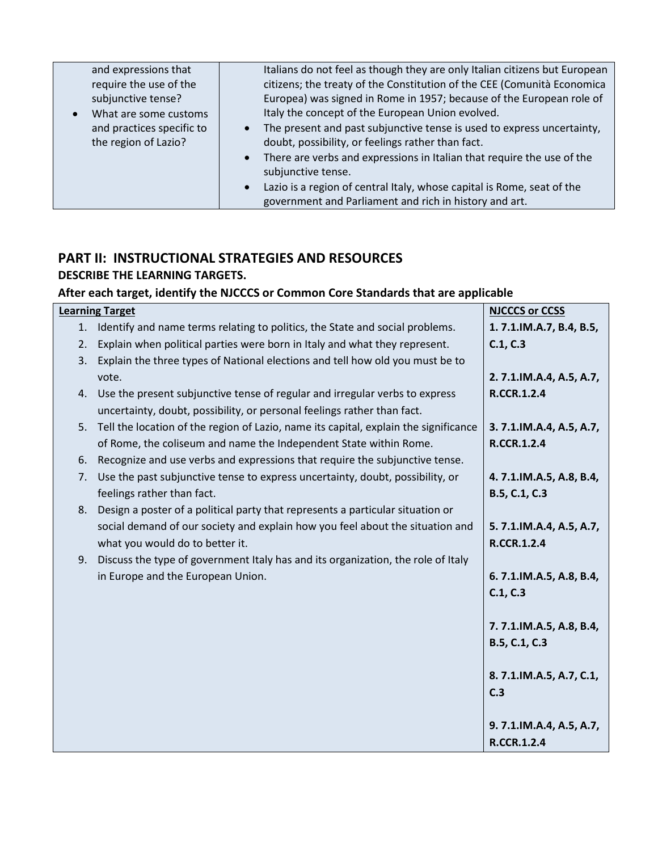| and expressions that      | Italians do not feel as though they are only Italian citizens but European          |
|---------------------------|-------------------------------------------------------------------------------------|
| require the use of the    | citizens; the treaty of the Constitution of the CEE (Comunità Economica             |
| subjunctive tense?        | Europea) was signed in Rome in 1957; because of the European role of                |
| What are some customs     | Italy the concept of the European Union evolved.                                    |
| and practices specific to | The present and past subjunctive tense is used to express uncertainty,<br>$\bullet$ |
| the region of Lazio?      | doubt, possibility, or feelings rather than fact.                                   |
|                           | There are verbs and expressions in Italian that require the use of the<br>$\bullet$ |
|                           | subjunctive tense.                                                                  |
|                           | Lazio is a region of central Italy, whose capital is Rome, seat of the<br>$\bullet$ |
|                           | government and Parliament and rich in history and art.                              |

# **PART II: INSTRUCTIONAL STRATEGIES AND RESOURCES DESCRIBE THE LEARNING TARGETS.**

# **After each target, identify the NJCCCS or Common Core Standards that are applicable**

| <b>Learning Target</b> | <b>NJCCCS or CCSS</b>                                                                                                                                     |                         |
|------------------------|-----------------------------------------------------------------------------------------------------------------------------------------------------------|-------------------------|
| 1.                     | Identify and name terms relating to politics, the State and social problems.                                                                              | 1.7.1.IM.A.7, B.4, B.5, |
| 2.                     | Explain when political parties were born in Italy and what they represent.                                                                                | C.1, C.3                |
| 3.                     | Explain the three types of National elections and tell how old you must be to                                                                             |                         |
|                        | vote.                                                                                                                                                     | 2.7.1.IM.A.4, A.5, A.7, |
|                        | 4. Use the present subjunctive tense of regular and irregular verbs to express<br>uncertainty, doubt, possibility, or personal feelings rather than fact. | <b>R.CCR.1.2.4</b>      |
| 5.                     | Tell the location of the region of Lazio, name its capital, explain the significance                                                                      | 3.7.1.IM.A.4, A.5, A.7, |
|                        | of Rome, the coliseum and name the Independent State within Rome.                                                                                         | <b>R.CCR.1.2.4</b>      |
| 6.                     | Recognize and use verbs and expressions that require the subjunctive tense.                                                                               |                         |
| 7.                     | Use the past subjunctive tense to express uncertainty, doubt, possibility, or                                                                             | 4.7.1.IM.A.5, A.8, B.4, |
|                        | feelings rather than fact.                                                                                                                                | B.5, C.1, C.3           |
| 8.                     | Design a poster of a political party that represents a particular situation or                                                                            |                         |
|                        | social demand of our society and explain how you feel about the situation and                                                                             | 5.7.1.IM.A.4, A.5, A.7, |
|                        | what you would do to better it.                                                                                                                           | <b>R.CCR.1.2.4</b>      |
| 9.                     | Discuss the type of government Italy has and its organization, the role of Italy                                                                          |                         |
|                        | in Europe and the European Union.                                                                                                                         | 6.7.1.IM.A.5, A.8, B.4, |
|                        |                                                                                                                                                           | C.1, C.3                |
|                        |                                                                                                                                                           |                         |
|                        |                                                                                                                                                           | 7.7.1.IM.A.5, A.8, B.4, |
|                        |                                                                                                                                                           | B.5, C.1, C.3           |
|                        |                                                                                                                                                           |                         |
|                        |                                                                                                                                                           | 8.7.1.IM.A.5, A.7, C.1, |
|                        |                                                                                                                                                           | C.3                     |
|                        |                                                                                                                                                           |                         |
|                        |                                                                                                                                                           | 9.7.1.IM.A.4, A.5, A.7, |
|                        |                                                                                                                                                           | <b>R.CCR.1.2.4</b>      |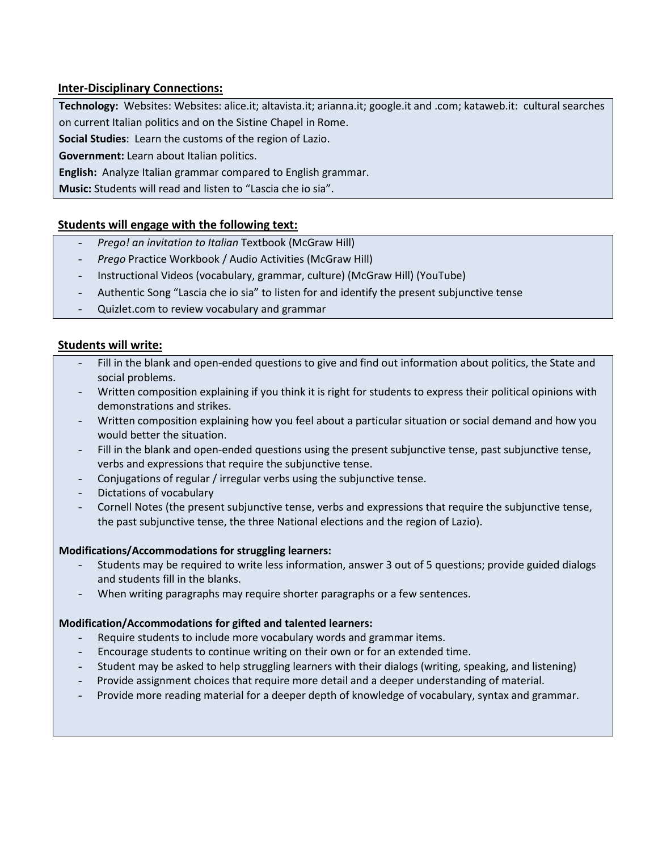# **Inter-Disciplinary Connections:**

**Technology:** Websites: Websites: alice.it; altavista.it; arianna.it; google.it and .com; kataweb.it: cultural searches

on current Italian politics and on the Sistine Chapel in Rome.

**Social Studies**: Learn the customs of the region of Lazio.

**Government:** Learn about Italian politics.

**English:** Analyze Italian grammar compared to English grammar.

**Music:** Students will read and listen to "Lascia che io sia".

# **Students will engage with the following text:**

- *Prego! an invitation to Italian* Textbook (McGraw Hill)
- *Prego* Practice Workbook / Audio Activities (McGraw Hill)
- Instructional Videos (vocabulary, grammar, culture) (McGraw Hill) (YouTube)
- Authentic Song "Lascia che io sia" to listen for and identify the present subjunctive tense
- Quizlet.com to review vocabulary and grammar

#### **Students will write:**

- Fill in the blank and open-ended questions to give and find out information about politics, the State and social problems.
- Written composition explaining if you think it is right for students to express their political opinions with demonstrations and strikes.
- Written composition explaining how you feel about a particular situation or social demand and how you would better the situation.
- Fill in the blank and open-ended questions using the present subjunctive tense, past subjunctive tense, verbs and expressions that require the subjunctive tense.
- Conjugations of regular / irregular verbs using the subjunctive tense.
- Dictations of vocabulary
- Cornell Notes (the present subjunctive tense, verbs and expressions that require the subjunctive tense, the past subjunctive tense, the three National elections and the region of Lazio).

#### **Modifications/Accommodations for struggling learners:**

- Students may be required to write less information, answer 3 out of 5 questions; provide guided dialogs and students fill in the blanks.
- When writing paragraphs may require shorter paragraphs or a few sentences.

#### **Modification/Accommodations for gifted and talented learners:**

- Require students to include more vocabulary words and grammar items.
- Encourage students to continue writing on their own or for an extended time.
- Student may be asked to help struggling learners with their dialogs (writing, speaking, and listening)
- Provide assignment choices that require more detail and a deeper understanding of material.
- Provide more reading material for a deeper depth of knowledge of vocabulary, syntax and grammar.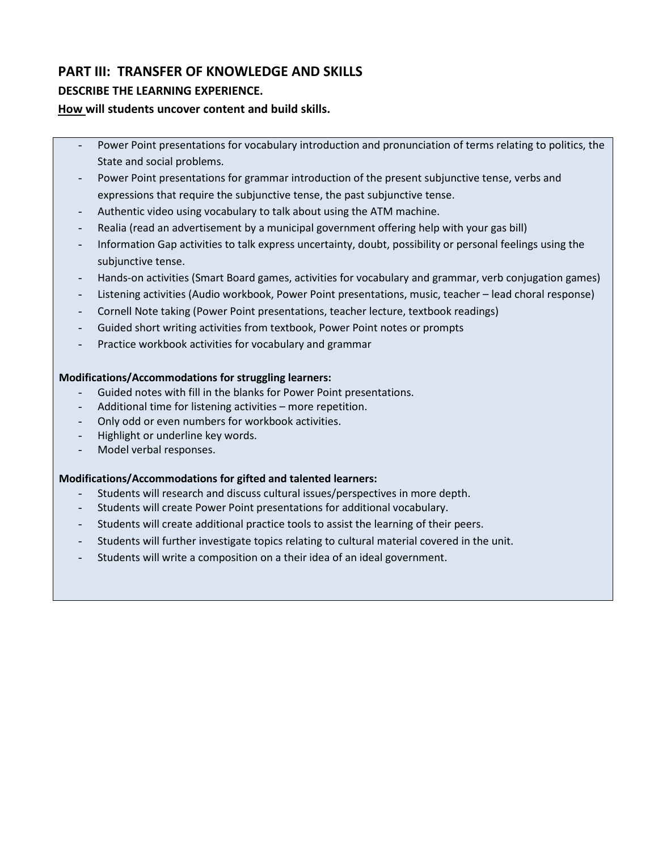# **PART III: TRANSFER OF KNOWLEDGE AND SKILLS**

# **DESCRIBE THE LEARNING EXPERIENCE.**

# **How will students uncover content and build skills.**

- Power Point presentations for vocabulary introduction and pronunciation of terms relating to politics, the State and social problems.
- Power Point presentations for grammar introduction of the present subjunctive tense, verbs and expressions that require the subjunctive tense, the past subjunctive tense.
- Authentic video using vocabulary to talk about using the ATM machine.
- Realia (read an advertisement by a municipal government offering help with your gas bill)
- Information Gap activities to talk express uncertainty, doubt, possibility or personal feelings using the subjunctive tense.
- Hands-on activities (Smart Board games, activities for vocabulary and grammar, verb conjugation games)
- Listening activities (Audio workbook, Power Point presentations, music, teacher lead choral response)
- Cornell Note taking (Power Point presentations, teacher lecture, textbook readings)
- Guided short writing activities from textbook, Power Point notes or prompts
- Practice workbook activities for vocabulary and grammar

# **Modifications/Accommodations for struggling learners:**

- Guided notes with fill in the blanks for Power Point presentations.
- Additional time for listening activities more repetition.
- Only odd or even numbers for workbook activities.
- Highlight or underline key words.
- Model verbal responses.

# **Modifications/Accommodations for gifted and talented learners:**

- Students will research and discuss cultural issues/perspectives in more depth.
- Students will create Power Point presentations for additional vocabulary.
- Students will create additional practice tools to assist the learning of their peers.
- Students will further investigate topics relating to cultural material covered in the unit.
- Students will write a composition on a their idea of an ideal government.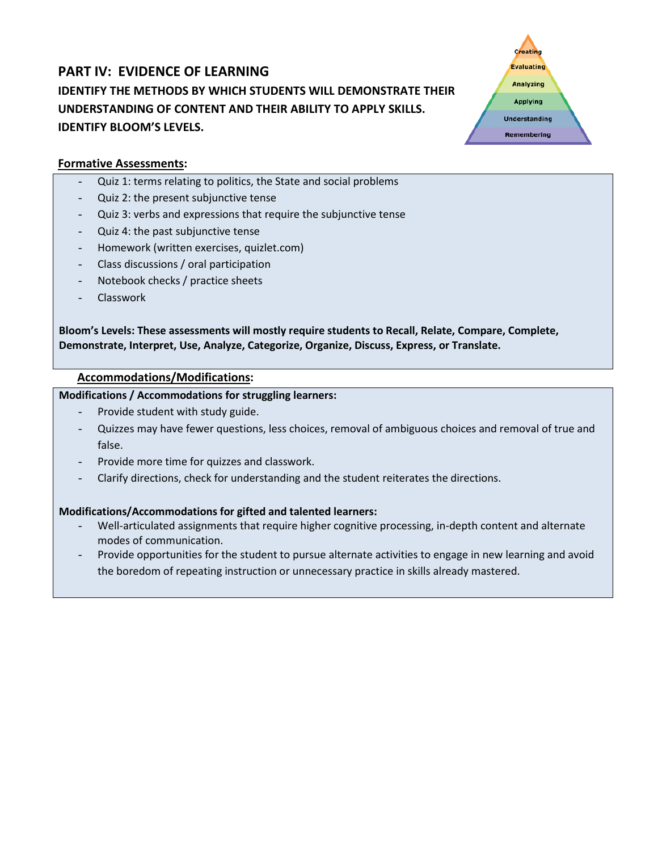# **PART IV: EVIDENCE OF LEARNING IDENTIFY THE METHODS BY WHICH STUDENTS WILL DEMONSTRATE THEIR UNDERSTANDING OF CONTENT AND THEIR ABILITY TO APPLY SKILLS. IDENTIFY BLOOM'S LEVELS.**



# **Formative Assessments:**

- Quiz 1: terms relating to politics, the State and social problems
- Quiz 2: the present subjunctive tense
- Quiz 3: verbs and expressions that require the subjunctive tense
- Quiz 4: the past subjunctive tense
- Homework (written exercises, quizlet.com)
- Class discussions / oral participation
- Notebook checks / practice sheets
- Classwork

**Bloom's Levels: These assessments will mostly require students to Recall, Relate, Compare, Complete, Demonstrate, Interpret, Use, Analyze, Categorize, Organize, Discuss, Express, or Translate.**

### **Accommodations/Modifications:**

#### **Modifications / Accommodations for struggling learners:**

- Provide student with study guide.
- Quizzes may have fewer questions, less choices, removal of ambiguous choices and removal of true and false.
- Provide more time for quizzes and classwork.
- Clarify directions, check for understanding and the student reiterates the directions.

# **Modifications/Accommodations for gifted and talented learners:**

- Well-articulated assignments that require higher cognitive processing, in-depth content and alternate modes of communication.
- Provide opportunities for the student to pursue alternate activities to engage in new learning and avoid the boredom of repeating instruction or unnecessary practice in skills already mastered.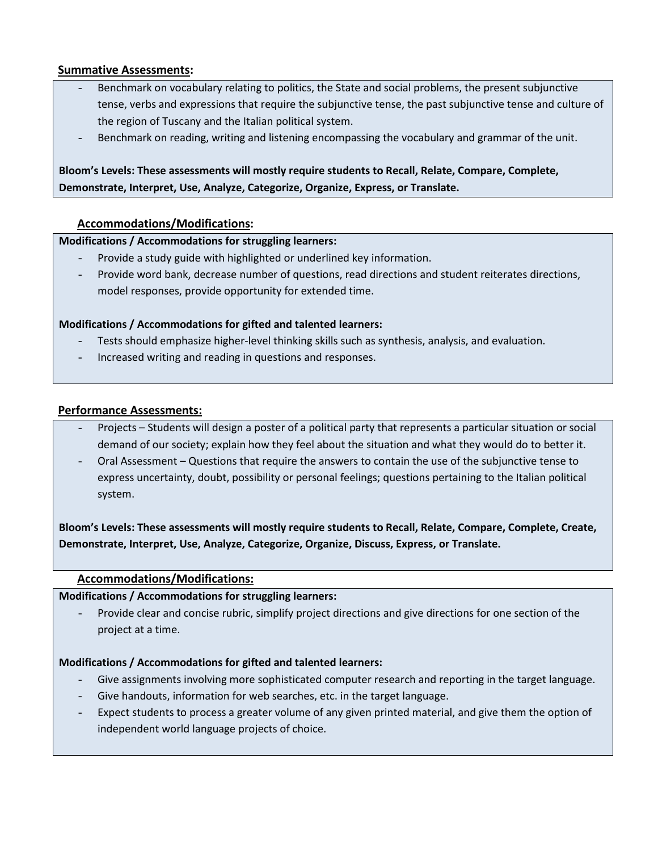# **Summative Assessments:**

- Benchmark on vocabulary relating to politics, the State and social problems, the present subjunctive tense, verbs and expressions that require the subjunctive tense, the past subjunctive tense and culture of the region of Tuscany and the Italian political system.
- Benchmark on reading, writing and listening encompassing the vocabulary and grammar of the unit.

# **Bloom's Levels: These assessments will mostly require students to Recall, Relate, Compare, Complete, Demonstrate, Interpret, Use, Analyze, Categorize, Organize, Express, or Translate.**

# **Accommodations/Modifications:**

#### **Modifications / Accommodations for struggling learners:**

- Provide a study guide with highlighted or underlined key information.
- Provide word bank, decrease number of questions, read directions and student reiterates directions, model responses, provide opportunity for extended time.

#### **Modifications / Accommodations for gifted and talented learners:**

- Tests should emphasize higher-level thinking skills such as synthesis, analysis, and evaluation.
- Increased writing and reading in questions and responses.

#### **Performance Assessments:**

- Projects Students will design a poster of a political party that represents a particular situation or social demand of our society; explain how they feel about the situation and what they would do to better it.
- Oral Assessment Questions that require the answers to contain the use of the subjunctive tense to express uncertainty, doubt, possibility or personal feelings; questions pertaining to the Italian political system.

**Bloom's Levels: These assessments will mostly require students to Recall, Relate, Compare, Complete, Create, Demonstrate, Interpret, Use, Analyze, Categorize, Organize, Discuss, Express, or Translate.**

# **Accommodations/Modifications:**

#### **Modifications / Accommodations for struggling learners:**

Provide clear and concise rubric, simplify project directions and give directions for one section of the project at a time.

#### **Modifications / Accommodations for gifted and talented learners:**

- Give assignments involving more sophisticated computer research and reporting in the target language.
- Give handouts, information for web searches, etc. in the target language.
- Expect students to process a greater volume of any given printed material, and give them the option of independent world language projects of choice.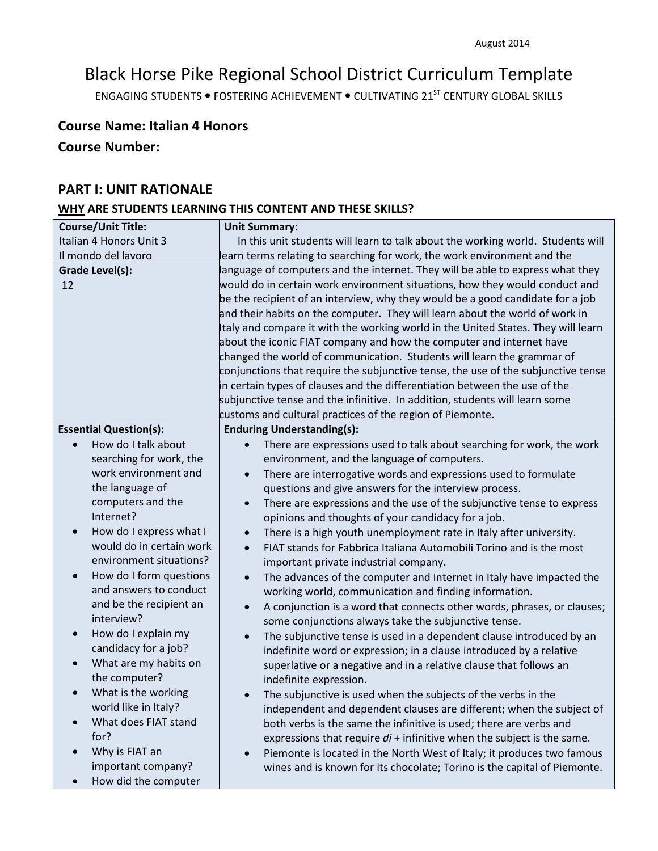# Black Horse Pike Regional School District Curriculum Template

ENGAGING STUDENTS . FOSTERING ACHIEVEMENT . CULTIVATING 21<sup>ST</sup> CENTURY GLOBAL SKILLS

# **Course Name: Italian 4 Honors**

# **Course Number:**

# **PART I: UNIT RATIONALE**

# **WHY ARE STUDENTS LEARNING THIS CONTENT AND THESE SKILLS?**

| <b>Course/Unit Title:</b>            | <b>Unit Summary:</b>                                                                 |  |
|--------------------------------------|--------------------------------------------------------------------------------------|--|
| Italian 4 Honors Unit 3              | In this unit students will learn to talk about the working world. Students will      |  |
| Il mondo del lavoro                  | learn terms relating to searching for work, the work environment and the             |  |
| <b>Grade Level(s):</b>               | language of computers and the internet. They will be able to express what they       |  |
| 12                                   | would do in certain work environment situations, how they would conduct and          |  |
|                                      | be the recipient of an interview, why they would be a good candidate for a job       |  |
|                                      | and their habits on the computer. They will learn about the world of work in         |  |
|                                      | Italy and compare it with the working world in the United States. They will learn    |  |
|                                      | about the iconic FIAT company and how the computer and internet have                 |  |
|                                      | changed the world of communication. Students will learn the grammar of               |  |
|                                      | conjunctions that require the subjunctive tense, the use of the subjunctive tense    |  |
|                                      | in certain types of clauses and the differentiation between the use of the           |  |
|                                      | subjunctive tense and the infinitive. In addition, students will learn some          |  |
|                                      | customs and cultural practices of the region of Piemonte.                            |  |
| <b>Essential Question(s):</b>        | <b>Enduring Understanding(s):</b>                                                    |  |
| How do I talk about                  | There are expressions used to talk about searching for work, the work                |  |
| searching for work, the              | environment, and the language of computers.                                          |  |
| work environment and                 | There are interrogative words and expressions used to formulate<br>$\bullet$         |  |
| the language of                      | questions and give answers for the interview process.                                |  |
| computers and the                    | There are expressions and the use of the subjunctive tense to express<br>$\bullet$   |  |
| Internet?                            | opinions and thoughts of your candidacy for a job.                                   |  |
| How do I express what I<br>$\bullet$ | There is a high youth unemployment rate in Italy after university.<br>$\bullet$      |  |
| would do in certain work             | FIAT stands for Fabbrica Italiana Automobili Torino and is the most<br>$\bullet$     |  |
| environment situations?              | important private industrial company.                                                |  |
| How do I form questions<br>$\bullet$ | The advances of the computer and Internet in Italy have impacted the<br>$\bullet$    |  |
| and answers to conduct               | working world, communication and finding information.                                |  |
| and be the recipient an              | A conjunction is a word that connects other words, phrases, or clauses;<br>$\bullet$ |  |
| interview?                           | some conjunctions always take the subjunctive tense.                                 |  |
| How do I explain my<br>$\bullet$     | The subjunctive tense is used in a dependent clause introduced by an                 |  |
| candidacy for a job?                 | indefinite word or expression; in a clause introduced by a relative                  |  |
| What are my habits on                | superlative or a negative and in a relative clause that follows an                   |  |
| the computer?                        | indefinite expression.                                                               |  |
| What is the working                  | The subjunctive is used when the subjects of the verbs in the                        |  |
| world like in Italy?                 | independent and dependent clauses are different; when the subject of                 |  |
| What does FIAT stand                 | both verbs is the same the infinitive is used; there are verbs and                   |  |
| for?                                 | expressions that require $di$ + infinitive when the subject is the same.             |  |
| Why is FIAT an                       | Piemonte is located in the North West of Italy; it produces two famous               |  |
| important company?                   | wines and is known for its chocolate; Torino is the capital of Piemonte.             |  |
| How did the computer                 |                                                                                      |  |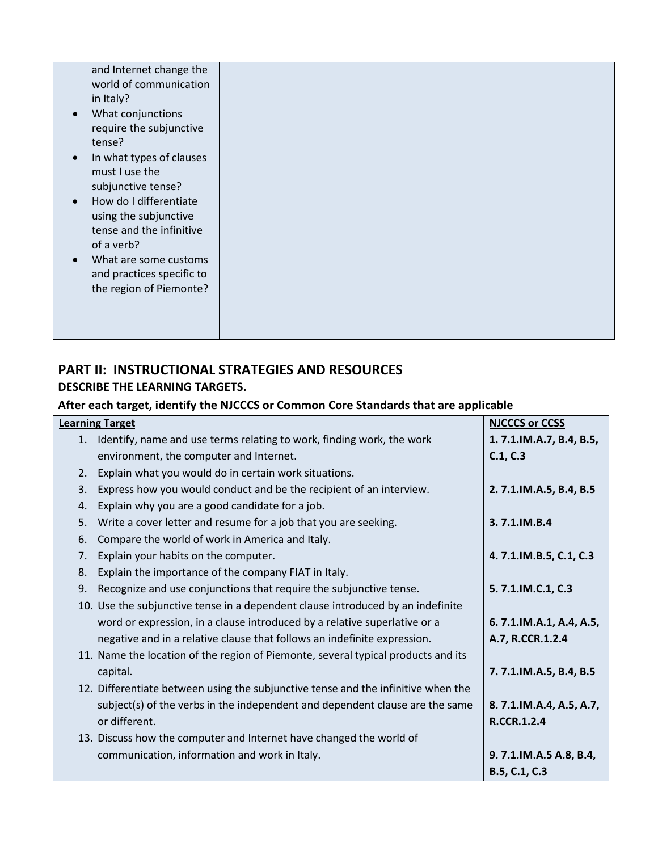| in Italy?<br>$\bullet$<br>tense?<br>$\bullet$<br>must I use the<br>$\bullet$<br>of a verb?<br>$\bullet$ | and Internet change the<br>world of communication<br>What conjunctions<br>require the subjunctive<br>In what types of clauses<br>subjunctive tense?<br>How do I differentiate<br>using the subjunctive<br>tense and the infinitive<br>What are some customs<br>and practices specific to<br>the region of Piemonte? |  |  |
|---------------------------------------------------------------------------------------------------------|---------------------------------------------------------------------------------------------------------------------------------------------------------------------------------------------------------------------------------------------------------------------------------------------------------------------|--|--|
|                                                                                                         |                                                                                                                                                                                                                                                                                                                     |  |  |
|                                                                                                         |                                                                                                                                                                                                                                                                                                                     |  |  |

# **PART II: INSTRUCTIONAL STRATEGIES AND RESOURCES DESCRIBE THE LEARNING TARGETS.**

# **After each target, identify the NJCCCS or Common Core Standards that are applicable**

|    | <b>Learning Target</b>                                                            | <b>NJCCCS or CCSS</b>   |
|----|-----------------------------------------------------------------------------------|-------------------------|
| 1. | Identify, name and use terms relating to work, finding work, the work             | 1.7.1.IM.A.7, B.4, B.5, |
|    | environment, the computer and Internet.                                           | C.1, C.3                |
| 2. | Explain what you would do in certain work situations.                             |                         |
| 3. | Express how you would conduct and be the recipient of an interview.               | 2.7.1.IM.A.5, B.4, B.5  |
| 4. | Explain why you are a good candidate for a job.                                   |                         |
| 5. | Write a cover letter and resume for a job that you are seeking.                   | 3.7.1.IM.B.4            |
| 6. | Compare the world of work in America and Italy.                                   |                         |
| 7. | Explain your habits on the computer.                                              | 4.7.1.IM.B.5, C.1, C.3  |
| 8. | Explain the importance of the company FIAT in Italy.                              |                         |
| 9. | Recognize and use conjunctions that require the subjunctive tense.                | 5.7.1.IM.C.1, C.3       |
|    | 10. Use the subjunctive tense in a dependent clause introduced by an indefinite   |                         |
|    | word or expression, in a clause introduced by a relative superlative or a         | 6.7.1.IM.A.1, A.4, A.5, |
|    | negative and in a relative clause that follows an indefinite expression.          | A.7, R.CCR.1.2.4        |
|    | 11. Name the location of the region of Piemonte, several typical products and its |                         |
|    | capital.                                                                          | 7.7.1.IM.A.5, B.4, B.5  |
|    | 12. Differentiate between using the subjunctive tense and the infinitive when the |                         |
|    | subject(s) of the verbs in the independent and dependent clause are the same      | 8.7.1.IM.A.4, A.5, A.7, |
|    | or different.                                                                     | <b>R.CCR.1.2.4</b>      |
|    | 13. Discuss how the computer and Internet have changed the world of               |                         |
|    | communication, information and work in Italy.                                     | 9.7.1.IM.A.5 A.8, B.4,  |
|    |                                                                                   | B.5, C.1, C.3           |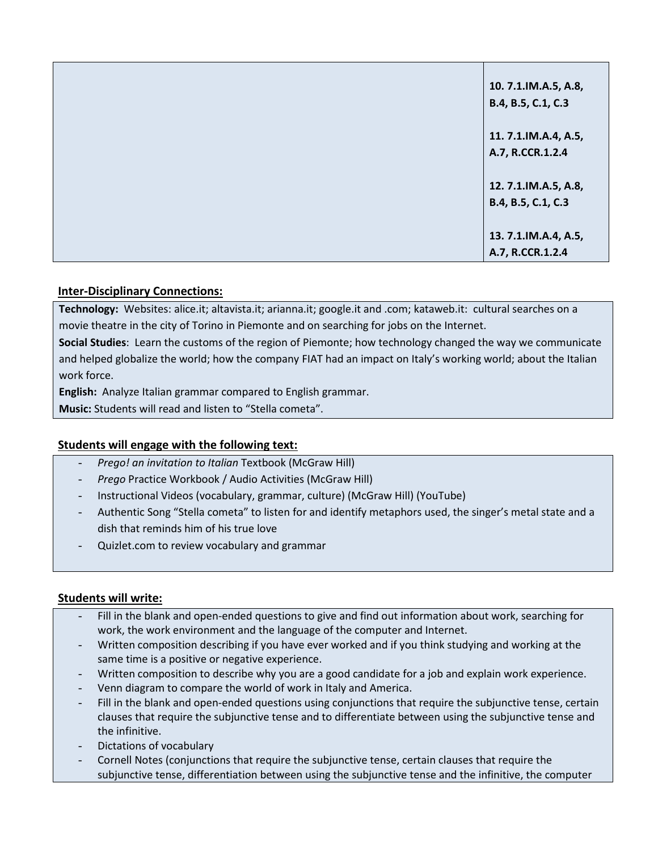| 10.7.1.IM.A.5, A.8,<br>B.4, B.5, C.1, C.3  |
|--------------------------------------------|
| 11. 7.1.IM.A.4, A.5,<br>A.7, R.CCR.1.2.4   |
| 12. 7.1.IM.A.5, A.8,<br>B.4, B.5, C.1, C.3 |
| 13. 7.1.IM.A.4, A.5,<br>A.7, R.CCR.1.2.4   |

# **Inter-Disciplinary Connections:**

**Technology:** Websites: alice.it; altavista.it; arianna.it; google.it and .com; kataweb.it: cultural searches on a movie theatre in the city of Torino in Piemonte and on searching for jobs on the Internet.

**Social Studies**: Learn the customs of the region of Piemonte; how technology changed the way we communicate and helped globalize the world; how the company FIAT had an impact on Italy's working world; about the Italian work force.

**English:** Analyze Italian grammar compared to English grammar.

**Music:** Students will read and listen to "Stella cometa".

# **Students will engage with the following text:**

- *Prego! an invitation to Italian* Textbook (McGraw Hill)
- *Prego* Practice Workbook / Audio Activities (McGraw Hill)
- Instructional Videos (vocabulary, grammar, culture) (McGraw Hill) (YouTube)
- Authentic Song "Stella cometa" to listen for and identify metaphors used, the singer's metal state and a dish that reminds him of his true love
- Quizlet.com to review vocabulary and grammar

# **Students will write:**

- Fill in the blank and open-ended questions to give and find out information about work, searching for work, the work environment and the language of the computer and Internet.
- Written composition describing if you have ever worked and if you think studying and working at the same time is a positive or negative experience.
- Written composition to describe why you are a good candidate for a job and explain work experience.
- Venn diagram to compare the world of work in Italy and America.
- Fill in the blank and open-ended questions using conjunctions that require the subjunctive tense, certain clauses that require the subjunctive tense and to differentiate between using the subjunctive tense and the infinitive.
- Dictations of vocabulary
- Cornell Notes (conjunctions that require the subjunctive tense, certain clauses that require the subjunctive tense, differentiation between using the subjunctive tense and the infinitive, the computer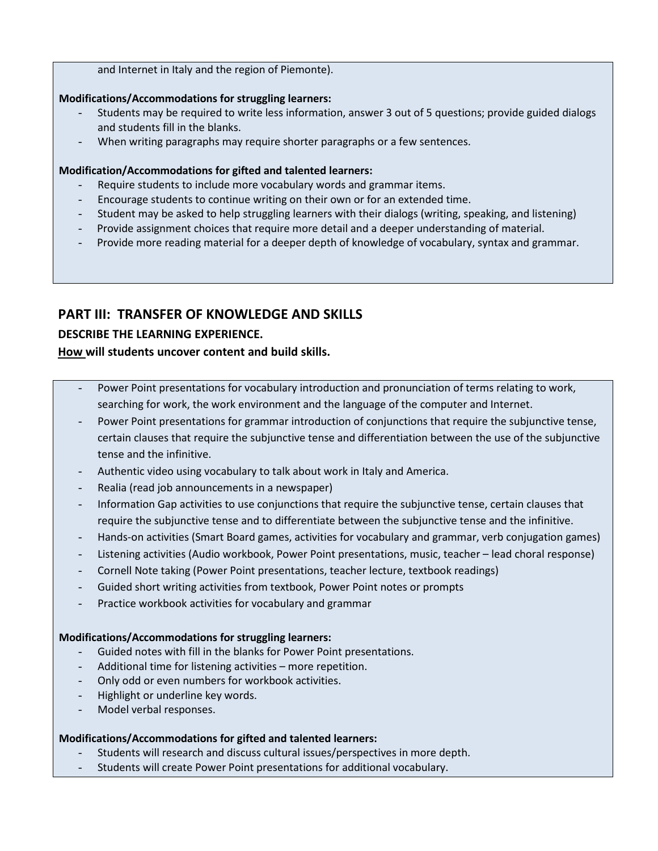#### and Internet in Italy and the region of Piemonte).

#### **Modifications/Accommodations for struggling learners:**

- Students may be required to write less information, answer 3 out of 5 questions; provide guided dialogs and students fill in the blanks.
- When writing paragraphs may require shorter paragraphs or a few sentences.

#### **Modification/Accommodations for gifted and talented learners:**

- Require students to include more vocabulary words and grammar items.
- Encourage students to continue writing on their own or for an extended time.
- Student may be asked to help struggling learners with their dialogs (writing, speaking, and listening)
- Provide assignment choices that require more detail and a deeper understanding of material.
- Provide more reading material for a deeper depth of knowledge of vocabulary, syntax and grammar.

# **PART III: TRANSFER OF KNOWLEDGE AND SKILLS**

# **DESCRIBE THE LEARNING EXPERIENCE.**

# **How will students uncover content and build skills.**

- Power Point presentations for vocabulary introduction and pronunciation of terms relating to work, searching for work, the work environment and the language of the computer and Internet.
- Power Point presentations for grammar introduction of conjunctions that require the subjunctive tense, certain clauses that require the subjunctive tense and differentiation between the use of the subjunctive tense and the infinitive.
- Authentic video using vocabulary to talk about work in Italy and America.
- Realia (read job announcements in a newspaper)
- Information Gap activities to use conjunctions that require the subjunctive tense, certain clauses that require the subjunctive tense and to differentiate between the subjunctive tense and the infinitive.
- Hands-on activities (Smart Board games, activities for vocabulary and grammar, verb conjugation games)
- Listening activities (Audio workbook, Power Point presentations, music, teacher lead choral response)
- Cornell Note taking (Power Point presentations, teacher lecture, textbook readings)
- Guided short writing activities from textbook, Power Point notes or prompts
- Practice workbook activities for vocabulary and grammar

#### **Modifications/Accommodations for struggling learners:**

- Guided notes with fill in the blanks for Power Point presentations.
- Additional time for listening activities more repetition.
- Only odd or even numbers for workbook activities.
- Highlight or underline key words.
- Model verbal responses.

#### **Modifications/Accommodations for gifted and talented learners:**

- Students will research and discuss cultural issues/perspectives in more depth.
- Students will create Power Point presentations for additional vocabulary.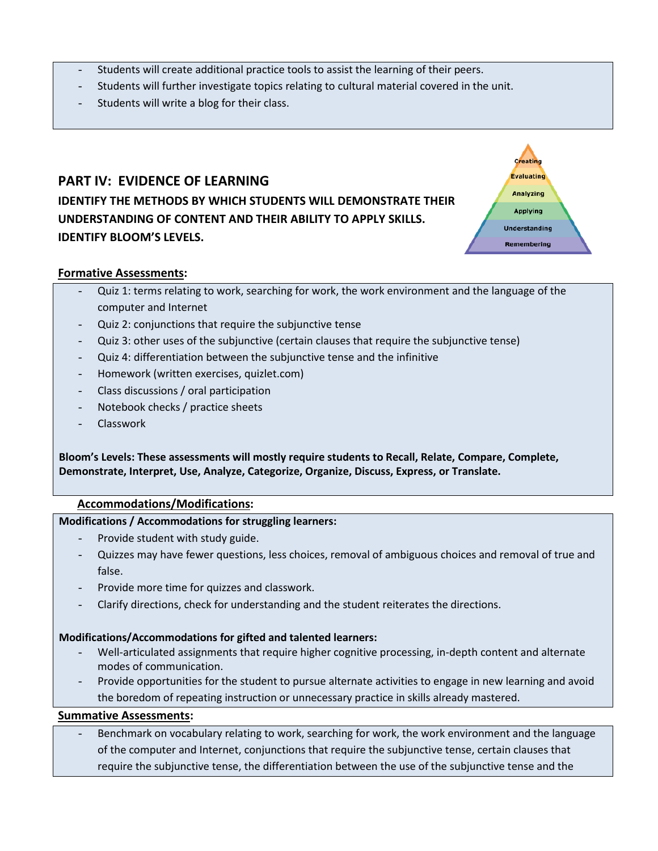- Students will create additional practice tools to assist the learning of their peers.
- Students will further investigate topics relating to cultural material covered in the unit.
- Students will write a blog for their class.

# **PART IV: EVIDENCE OF LEARNING IDENTIFY THE METHODS BY WHICH STUDENTS WILL DEMONSTRATE THEIR UNDERSTANDING OF CONTENT AND THEIR ABILITY TO APPLY SKILLS. IDENTIFY BLOOM'S LEVELS.**



#### **Formative Assessments:**

- Quiz 1: terms relating to work, searching for work, the work environment and the language of the computer and Internet
- Quiz 2: conjunctions that require the subjunctive tense
- Quiz 3: other uses of the subjunctive (certain clauses that require the subjunctive tense)
- Quiz 4: differentiation between the subjunctive tense and the infinitive
- Homework (written exercises, quizlet.com)
- Class discussions / oral participation
- Notebook checks / practice sheets
- Classwork

**Bloom's Levels: These assessments will mostly require students to Recall, Relate, Compare, Complete, Demonstrate, Interpret, Use, Analyze, Categorize, Organize, Discuss, Express, or Translate.**

#### **Accommodations/Modifications:**

#### **Modifications / Accommodations for struggling learners:**

- Provide student with study guide.
- Quizzes may have fewer questions, less choices, removal of ambiguous choices and removal of true and false.
- Provide more time for quizzes and classwork.
- Clarify directions, check for understanding and the student reiterates the directions.

# **Modifications/Accommodations for gifted and talented learners:**

- Well‐articulated assignments that require higher cognitive processing, in‐depth content and alternate modes of communication.
- Provide opportunities for the student to pursue alternate activities to engage in new learning and avoid the boredom of repeating instruction or unnecessary practice in skills already mastered.

### **Summative Assessments:**

Benchmark on vocabulary relating to work, searching for work, the work environment and the language of the computer and Internet, conjunctions that require the subjunctive tense, certain clauses that require the subjunctive tense, the differentiation between the use of the subjunctive tense and the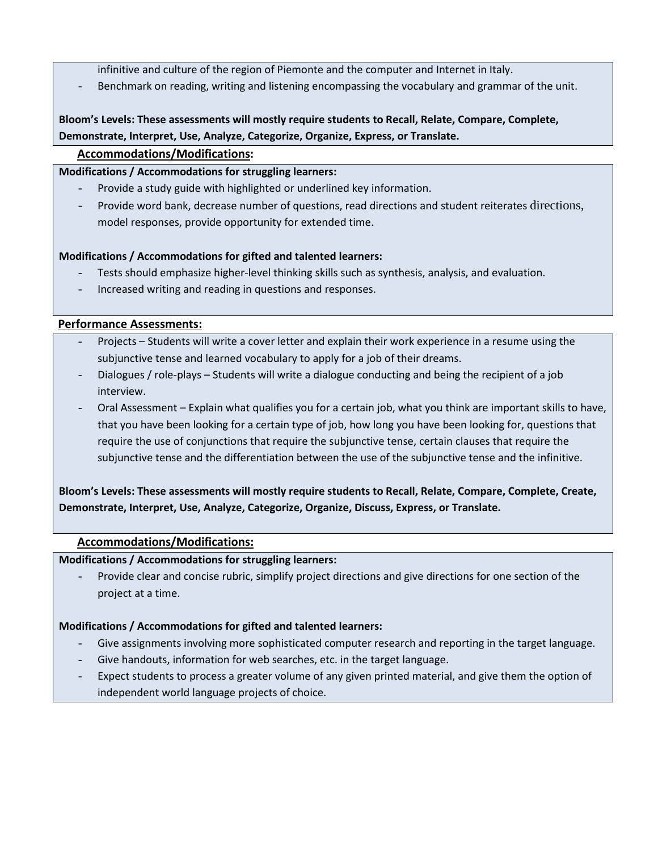- infinitive and culture of the region of Piemonte and the computer and Internet in Italy.
- Benchmark on reading, writing and listening encompassing the vocabulary and grammar of the unit.

# **Bloom's Levels: These assessments will mostly require students to Recall, Relate, Compare, Complete, Demonstrate, Interpret, Use, Analyze, Categorize, Organize, Express, or Translate.**

# **Accommodations/Modifications:**

# **Modifications / Accommodations for struggling learners:**

- Provide a study guide with highlighted or underlined key information.
- Provide word bank, decrease number of questions, read directions and student reiterates directions, model responses, provide opportunity for extended time.

# **Modifications / Accommodations for gifted and talented learners:**

- Tests should emphasize higher-level thinking skills such as synthesis, analysis, and evaluation.
- Increased writing and reading in questions and responses.

# **Performance Assessments:**

- Projects Students will write a cover letter and explain their work experience in a resume using the subjunctive tense and learned vocabulary to apply for a job of their dreams.
- Dialogues / role-plays Students will write a dialogue conducting and being the recipient of a job interview.
- Oral Assessment Explain what qualifies you for a certain job, what you think are important skills to have, that you have been looking for a certain type of job, how long you have been looking for, questions that require the use of conjunctions that require the subjunctive tense, certain clauses that require the subjunctive tense and the differentiation between the use of the subjunctive tense and the infinitive.

# **Bloom's Levels: These assessments will mostly require students to Recall, Relate, Compare, Complete, Create, Demonstrate, Interpret, Use, Analyze, Categorize, Organize, Discuss, Express, or Translate.**

# **Accommodations/Modifications:**

# **Modifications / Accommodations for struggling learners:**

Provide clear and concise rubric, simplify project directions and give directions for one section of the project at a time.

# **Modifications / Accommodations for gifted and talented learners:**

- Give assignments involving more sophisticated computer research and reporting in the target language.
- Give handouts, information for web searches, etc. in the target language.
- Expect students to process a greater volume of any given printed material, and give them the option of independent world language projects of choice.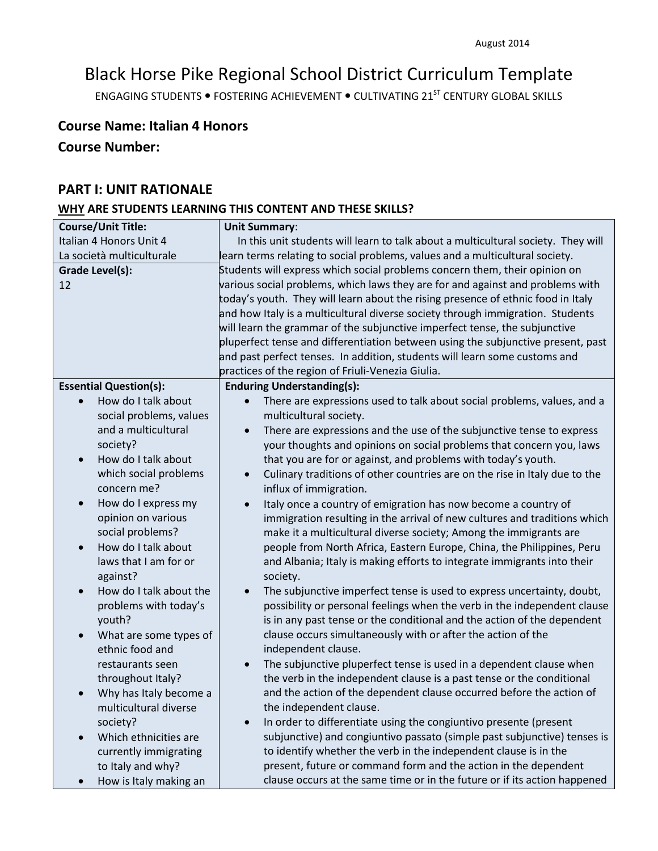# Black Horse Pike Regional School District Curriculum Template

ENGAGING STUDENTS . FOSTERING ACHIEVEMENT . CULTIVATING 21<sup>ST</sup> CENTURY GLOBAL SKILLS

# **Course Name: Italian 4 Honors**

# **Course Number:**

# **PART I: UNIT RATIONALE**

# **WHY ARE STUDENTS LEARNING THIS CONTENT AND THESE SKILLS?**

| <b>Course/Unit Title:</b>                              | <b>Unit Summary:</b>                                                                                                                           |
|--------------------------------------------------------|------------------------------------------------------------------------------------------------------------------------------------------------|
| Italian 4 Honors Unit 4                                | In this unit students will learn to talk about a multicultural society. They will                                                              |
| La società multiculturale                              | learn terms relating to social problems, values and a multicultural society.                                                                   |
| Grade Level(s):                                        | Students will express which social problems concern them, their opinion on                                                                     |
| 12                                                     | various social problems, which laws they are for and against and problems with                                                                 |
|                                                        | today's youth. They will learn about the rising presence of ethnic food in Italy                                                               |
|                                                        | and how Italy is a multicultural diverse society through immigration. Students                                                                 |
|                                                        | will learn the grammar of the subjunctive imperfect tense, the subjunctive                                                                     |
|                                                        | pluperfect tense and differentiation between using the subjunctive present, past                                                               |
|                                                        | and past perfect tenses. In addition, students will learn some customs and                                                                     |
|                                                        | practices of the region of Friuli-Venezia Giulia.                                                                                              |
| <b>Essential Question(s):</b>                          | <b>Enduring Understanding(s):</b>                                                                                                              |
| How do I talk about                                    | There are expressions used to talk about social problems, values, and a                                                                        |
| social problems, values                                | multicultural society.                                                                                                                         |
| and a multicultural                                    | There are expressions and the use of the subjunctive tense to express<br>$\bullet$                                                             |
| society?                                               | your thoughts and opinions on social problems that concern you, laws                                                                           |
| How do I talk about<br>$\bullet$                       | that you are for or against, and problems with today's youth.                                                                                  |
| which social problems                                  | Culinary traditions of other countries are on the rise in Italy due to the<br>$\bullet$                                                        |
| concern me?                                            | influx of immigration.                                                                                                                         |
| How do I express my<br>$\bullet$<br>opinion on various | Italy once a country of emigration has now become a country of                                                                                 |
| social problems?                                       | immigration resulting in the arrival of new cultures and traditions which<br>make it a multicultural diverse society; Among the immigrants are |
| How do I talk about<br>$\bullet$                       | people from North Africa, Eastern Europe, China, the Philippines, Peru                                                                         |
| laws that I am for or                                  | and Albania; Italy is making efforts to integrate immigrants into their                                                                        |
| against?                                               | society.                                                                                                                                       |
| How do I talk about the<br>$\bullet$                   | The subjunctive imperfect tense is used to express uncertainty, doubt,                                                                         |
| problems with today's                                  | possibility or personal feelings when the verb in the independent clause                                                                       |
| youth?                                                 | is in any past tense or the conditional and the action of the dependent                                                                        |
| What are some types of<br>$\bullet$                    | clause occurs simultaneously with or after the action of the                                                                                   |
| ethnic food and                                        | independent clause.                                                                                                                            |
| restaurants seen                                       | The subjunctive pluperfect tense is used in a dependent clause when                                                                            |
| throughout Italy?                                      | the verb in the independent clause is a past tense or the conditional                                                                          |
| Why has Italy become a                                 | and the action of the dependent clause occurred before the action of                                                                           |
| multicultural diverse                                  | the independent clause.                                                                                                                        |
| society?                                               | In order to differentiate using the congiuntivo presente (present                                                                              |
| Which ethnicities are<br>$\bullet$                     | subjunctive) and congiuntivo passato (simple past subjunctive) tenses is                                                                       |
| currently immigrating                                  | to identify whether the verb in the independent clause is in the                                                                               |
| to Italy and why?                                      | present, future or command form and the action in the dependent                                                                                |
| How is Italy making an                                 | clause occurs at the same time or in the future or if its action happened                                                                      |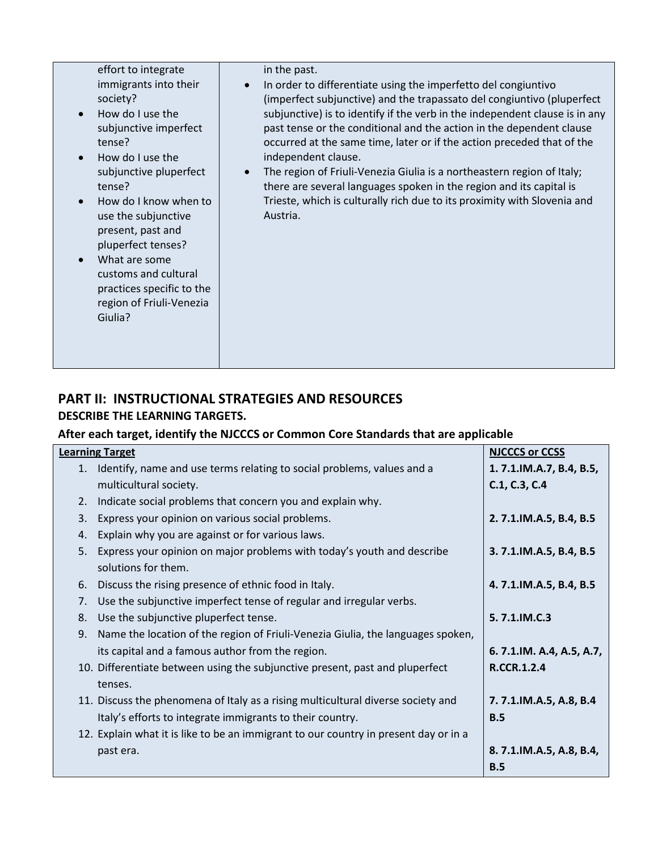| effort to integrate<br>immigrants into their<br>society?<br>How do I use the<br>subjunctive imperfect<br>tense?<br>How do I use the<br>subjunctive pluperfect<br>tense?<br>How do I know when to<br>use the subjunctive<br>present, past and<br>pluperfect tenses?<br>What are some<br>customs and cultural<br>practices specific to the<br>region of Friuli-Venezia<br>Giulia? | in the past.<br>In order to differentiate using the imperfetto del congiuntivo<br>(imperfect subjunctive) and the trapassato del congiuntivo (pluperfect<br>subjunctive) is to identify if the verb in the independent clause is in any<br>past tense or the conditional and the action in the dependent clause<br>occurred at the same time, later or if the action preceded that of the<br>independent clause.<br>The region of Friuli-Venezia Giulia is a northeastern region of Italy;<br>there are several languages spoken in the region and its capital is<br>Trieste, which is culturally rich due to its proximity with Slovenia and<br>Austria. |
|---------------------------------------------------------------------------------------------------------------------------------------------------------------------------------------------------------------------------------------------------------------------------------------------------------------------------------------------------------------------------------|-----------------------------------------------------------------------------------------------------------------------------------------------------------------------------------------------------------------------------------------------------------------------------------------------------------------------------------------------------------------------------------------------------------------------------------------------------------------------------------------------------------------------------------------------------------------------------------------------------------------------------------------------------------|
|---------------------------------------------------------------------------------------------------------------------------------------------------------------------------------------------------------------------------------------------------------------------------------------------------------------------------------------------------------------------------------|-----------------------------------------------------------------------------------------------------------------------------------------------------------------------------------------------------------------------------------------------------------------------------------------------------------------------------------------------------------------------------------------------------------------------------------------------------------------------------------------------------------------------------------------------------------------------------------------------------------------------------------------------------------|

# **PART II: INSTRUCTIONAL STRATEGIES AND RESOURCES DESCRIBE THE LEARNING TARGETS.**

# **After each target, identify the NJCCCS or Common Core Standards that are applicable**

| <b>Learning Target</b> |                                                                                      | <b>NJCCCS or CCSS</b>    |
|------------------------|--------------------------------------------------------------------------------------|--------------------------|
|                        | 1. Identify, name and use terms relating to social problems, values and a            | 1.7.1.IM.A.7, B.4, B.5,  |
|                        | multicultural society.                                                               | C.1, C.3, C.4            |
| 2.                     | Indicate social problems that concern you and explain why.                           |                          |
| 3.                     | Express your opinion on various social problems.                                     | 2.7.1.IM.A.5, B.4, B.5   |
|                        | 4. Explain why you are against or for various laws.                                  |                          |
| 5.                     | Express your opinion on major problems with today's youth and describe               | 3.7.1.IM.A.5, B.4, B.5   |
|                        | solutions for them.                                                                  |                          |
| 6.                     | Discuss the rising presence of ethnic food in Italy.                                 | 4.7.1.IM.A.5, B.4, B.5   |
| 7.                     | Use the subjunctive imperfect tense of regular and irregular verbs.                  |                          |
| 8.                     | Use the subjunctive pluperfect tense.                                                | 5.7.1.IM.C.3             |
| 9.                     | Name the location of the region of Friuli-Venezia Giulia, the languages spoken,      |                          |
|                        | its capital and a famous author from the region.                                     | 6.7.1.IM. A.4, A.5, A.7, |
|                        | 10. Differentiate between using the subjunctive present, past and pluperfect         | <b>R.CCR.1.2.4</b>       |
|                        | tenses.                                                                              |                          |
|                        | 11. Discuss the phenomena of Italy as a rising multicultural diverse society and     | 7.7.1.IM.A.5, A.8, B.4   |
|                        | Italy's efforts to integrate immigrants to their country.                            | B.5                      |
|                        | 12. Explain what it is like to be an immigrant to our country in present day or in a |                          |
|                        | past era.                                                                            | 8.7.1.IM.A.5, A.8, B.4,  |
|                        |                                                                                      | B.5                      |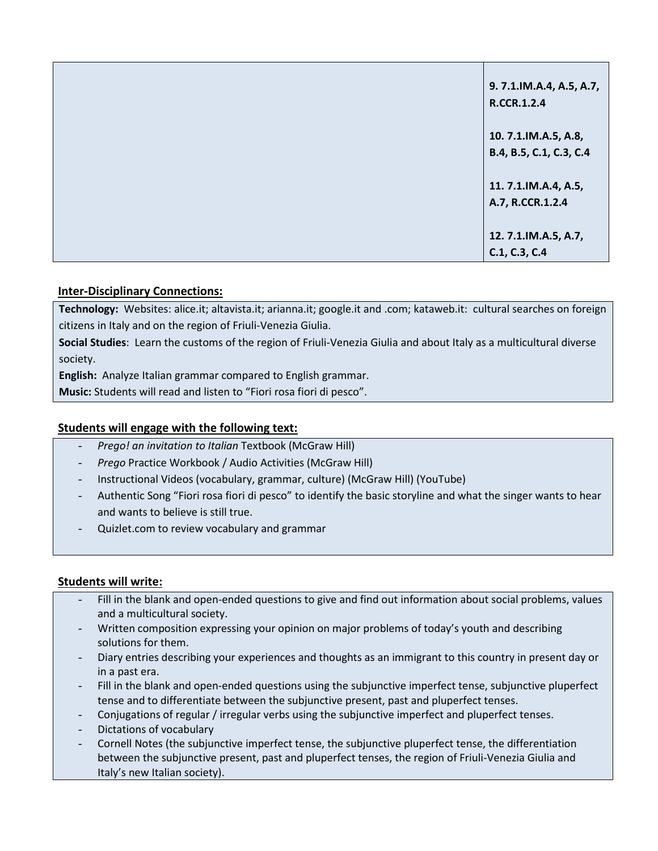| 9.7.1.IM.A.4, A.5, A.7,<br>R.CCR.1.2.4          |
|-------------------------------------------------|
| 10. 7.1.IM.A.5, A.8,<br>B.4, B.5, C.1, C.3, C.4 |
| 11. 7.1.IM.A.4, A.5,                            |
| A.7, R.CCR.1.2.4                                |
| 12. 7.1.IM.A.5, A.7,<br>C.1, C.3, C.4           |

# **Inter-Disciplinary Connections:**

**Technology:** Websites: alice.it; altavista.it; arianna.it; google.it and .com; kataweb.it: cultural searches on foreign citizens in Italy and on the region of Friuli-Venezia Giulia.

**Social Studies**: Learn the customs of the region of Friuli-Venezia Giulia and about Italy as a multicultural diverse society.

**English:** Analyze Italian grammar compared to English grammar.

**Music:** Students will read and listen to "Fiori rosa fiori di pesco".

# **Students will engage with the following text:**

- *Prego! an invitation to Italian* Textbook (McGraw Hill)
- *Prego* Practice Workbook / Audio Activities (McGraw Hill)
- Instructional Videos (vocabulary, grammar, culture) (McGraw Hill) (YouTube)
- Authentic Song "Fiori rosa fiori di pesco" to identify the basic storyline and what the singer wants to hear and wants to believe is still true.
- Quizlet.com to review vocabulary and grammar

# **Students will write:**

- Fill in the blank and open-ended questions to give and find out information about social problems, values and a multicultural society.
- Written composition expressing your opinion on major problems of today's youth and describing solutions for them.
- Diary entries describing your experiences and thoughts as an immigrant to this country in present day or in a past era.
- Fill in the blank and open-ended questions using the subjunctive imperfect tense, subjunctive pluperfect tense and to differentiate between the subjunctive present, past and pluperfect tenses.
- Conjugations of regular / irregular verbs using the subjunctive imperfect and pluperfect tenses.
- Dictations of vocabulary
- Cornell Notes (the subjunctive imperfect tense, the subjunctive pluperfect tense, the differentiation between the subjunctive present, past and pluperfect tenses, the region of Friuli-Venezia Giulia and Italy's new Italian society).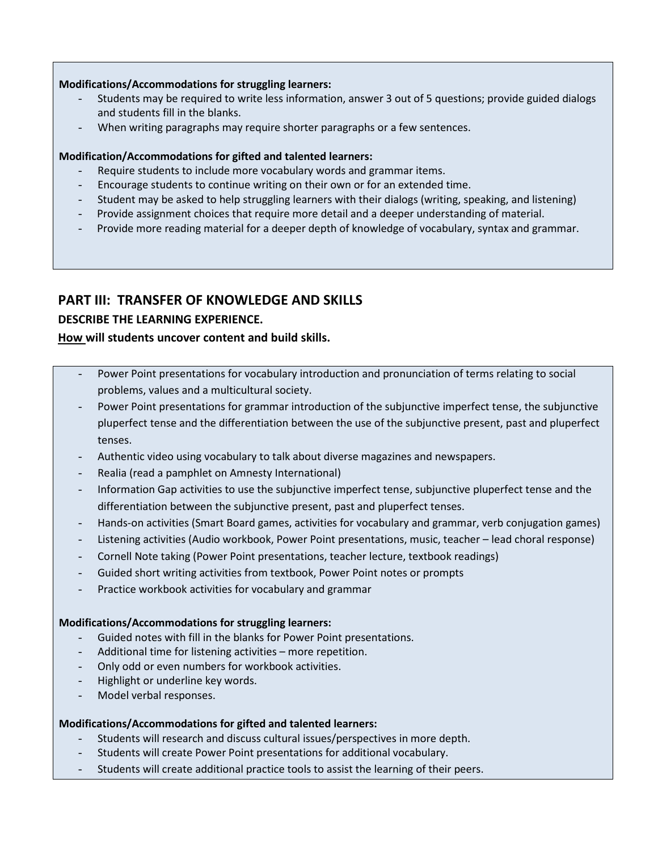#### **Modifications/Accommodations for struggling learners:**

- Students may be required to write less information, answer 3 out of 5 questions; provide guided dialogs and students fill in the blanks.
- When writing paragraphs may require shorter paragraphs or a few sentences.

# **Modification/Accommodations for gifted and talented learners:**

- Require students to include more vocabulary words and grammar items.
- Encourage students to continue writing on their own or for an extended time.
- Student may be asked to help struggling learners with their dialogs (writing, speaking, and listening)
- Provide assignment choices that require more detail and a deeper understanding of material.
- Provide more reading material for a deeper depth of knowledge of vocabulary, syntax and grammar.

# **PART III: TRANSFER OF KNOWLEDGE AND SKILLS**

# **DESCRIBE THE LEARNING EXPERIENCE.**

# **How will students uncover content and build skills.**

- Power Point presentations for vocabulary introduction and pronunciation of terms relating to social problems, values and a multicultural society.
- Power Point presentations for grammar introduction of the subjunctive imperfect tense, the subjunctive pluperfect tense and the differentiation between the use of the subjunctive present, past and pluperfect tenses.
- Authentic video using vocabulary to talk about diverse magazines and newspapers.
- Realia (read a pamphlet on Amnesty International)
- Information Gap activities to use the subjunctive imperfect tense, subjunctive pluperfect tense and the differentiation between the subjunctive present, past and pluperfect tenses.
- Hands-on activities (Smart Board games, activities for vocabulary and grammar, verb conjugation games)
- Listening activities (Audio workbook, Power Point presentations, music, teacher lead choral response)
- Cornell Note taking (Power Point presentations, teacher lecture, textbook readings)
- Guided short writing activities from textbook, Power Point notes or prompts
- Practice workbook activities for vocabulary and grammar

# **Modifications/Accommodations for struggling learners:**

- Guided notes with fill in the blanks for Power Point presentations.
- Additional time for listening activities more repetition.
- Only odd or even numbers for workbook activities.
- Highlight or underline key words.
- Model verbal responses.

# **Modifications/Accommodations for gifted and talented learners:**

- Students will research and discuss cultural issues/perspectives in more depth.
- Students will create Power Point presentations for additional vocabulary.
- Students will create additional practice tools to assist the learning of their peers.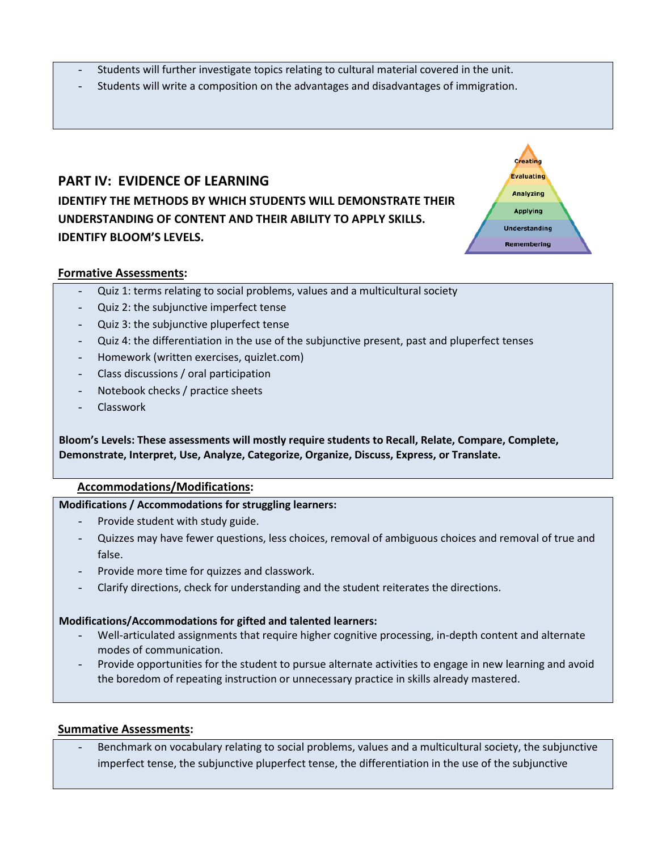- Students will further investigate topics relating to cultural material covered in the unit.
- Students will write a composition on the advantages and disadvantages of immigration.

# **PART IV: EVIDENCE OF LEARNING IDENTIFY THE METHODS BY WHICH STUDENTS WILL DEMONSTRATE THEIR UNDERSTANDING OF CONTENT AND THEIR ABILITY TO APPLY SKILLS. IDENTIFY BLOOM'S LEVELS.**



#### **Formative Assessments:**

- Quiz 1: terms relating to social problems, values and a multicultural society
- Quiz 2: the subjunctive imperfect tense
- Quiz 3: the subjunctive pluperfect tense
- Quiz 4: the differentiation in the use of the subjunctive present, past and pluperfect tenses
- Homework (written exercises, quizlet.com)
- Class discussions / oral participation
- Notebook checks / practice sheets
- **Classwork**

**Bloom's Levels: These assessments will mostly require students to Recall, Relate, Compare, Complete, Demonstrate, Interpret, Use, Analyze, Categorize, Organize, Discuss, Express, or Translate.**

#### **Accommodations/Modifications:**

#### **Modifications / Accommodations for struggling learners:**

- Provide student with study guide.
- Quizzes may have fewer questions, less choices, removal of ambiguous choices and removal of true and false.
- Provide more time for quizzes and classwork.
- Clarify directions, check for understanding and the student reiterates the directions.

#### **Modifications/Accommodations for gifted and talented learners:**

- Well-articulated assignments that require higher cognitive processing, in-depth content and alternate modes of communication.
- Provide opportunities for the student to pursue alternate activities to engage in new learning and avoid the boredom of repeating instruction or unnecessary practice in skills already mastered.

#### **Summative Assessments:**

Benchmark on vocabulary relating to social problems, values and a multicultural society, the subjunctive imperfect tense, the subjunctive pluperfect tense, the differentiation in the use of the subjunctive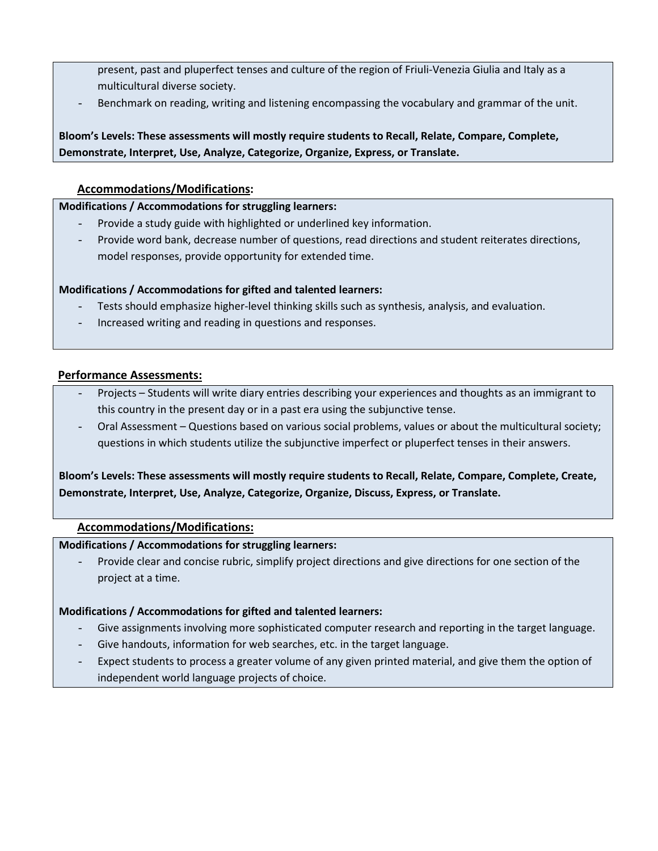- present, past and pluperfect tenses and culture of the region of Friuli-Venezia Giulia and Italy as a multicultural diverse society.
- Benchmark on reading, writing and listening encompassing the vocabulary and grammar of the unit.

**Bloom's Levels: These assessments will mostly require students to Recall, Relate, Compare, Complete, Demonstrate, Interpret, Use, Analyze, Categorize, Organize, Express, or Translate.**

# **Accommodations/Modifications:**

### **Modifications / Accommodations for struggling learners:**

- Provide a study guide with highlighted or underlined key information.
- Provide word bank, decrease number of questions, read directions and student reiterates directions, model responses, provide opportunity for extended time.

# **Modifications / Accommodations for gifted and talented learners:**

- Tests should emphasize higher-level thinking skills such as synthesis, analysis, and evaluation.
- Increased writing and reading in questions and responses.

# **Performance Assessments:**

- Projects Students will write diary entries describing your experiences and thoughts as an immigrant to this country in the present day or in a past era using the subjunctive tense.
- Oral Assessment Questions based on various social problems, values or about the multicultural society; questions in which students utilize the subjunctive imperfect or pluperfect tenses in their answers.

**Bloom's Levels: These assessments will mostly require students to Recall, Relate, Compare, Complete, Create, Demonstrate, Interpret, Use, Analyze, Categorize, Organize, Discuss, Express, or Translate.**

# **Accommodations/Modifications:**

# **Modifications / Accommodations for struggling learners:**

Provide clear and concise rubric, simplify project directions and give directions for one section of the project at a time.

# **Modifications / Accommodations for gifted and talented learners:**

- Give assignments involving more sophisticated computer research and reporting in the target language.
- Give handouts, information for web searches, etc. in the target language.
- Expect students to process a greater volume of any given printed material, and give them the option of independent world language projects of choice.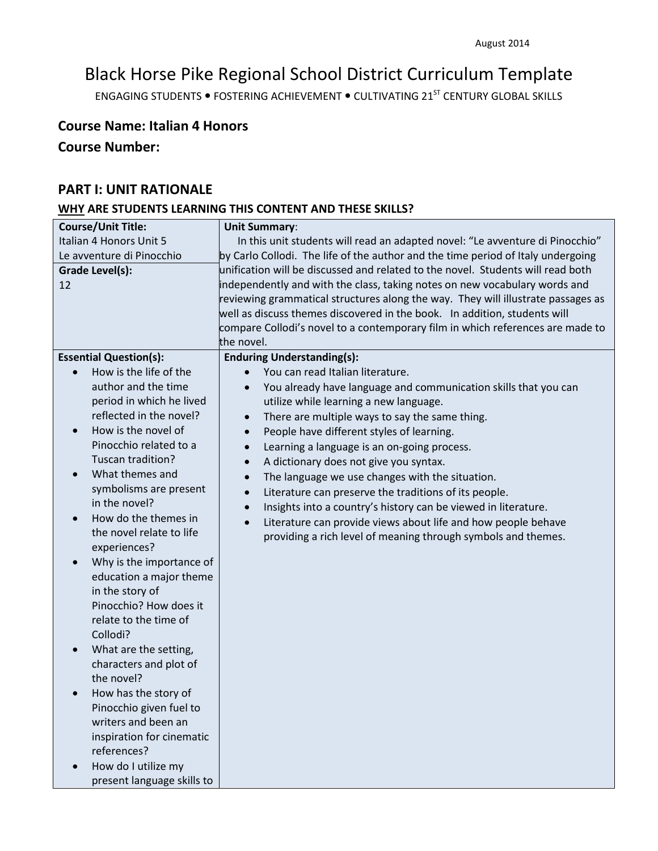# Black Horse Pike Regional School District Curriculum Template

ENGAGING STUDENTS . FOSTERING ACHIEVEMENT . CULTIVATING 21<sup>ST</sup> CENTURY GLOBAL SKILLS

# **Course Name: Italian 4 Honors**

# **Course Number:**

# **PART I: UNIT RATIONALE**

# **WHY ARE STUDENTS LEARNING THIS CONTENT AND THESE SKILLS?**

| <b>Course/Unit Title:</b>             | <b>Unit Summary:</b>                                                             |  |  |
|---------------------------------------|----------------------------------------------------------------------------------|--|--|
| Italian 4 Honors Unit 5               | In this unit students will read an adapted novel: "Le avventure di Pinocchio"    |  |  |
| Le avventure di Pinocchio             | by Carlo Collodi. The life of the author and the time period of Italy undergoing |  |  |
| <b>Grade Level(s):</b>                | unification will be discussed and related to the novel. Students will read both  |  |  |
| 12                                    | independently and with the class, taking notes on new vocabulary words and       |  |  |
|                                       | reviewing grammatical structures along the way. They will illustrate passages as |  |  |
|                                       | well as discuss themes discovered in the book. In addition, students will        |  |  |
|                                       | compare Collodi's novel to a contemporary film in which references are made to   |  |  |
|                                       | the novel.                                                                       |  |  |
| <b>Essential Question(s):</b>         | <b>Enduring Understanding(s):</b>                                                |  |  |
| How is the life of the                | You can read Italian literature.                                                 |  |  |
| author and the time                   | You already have language and communication skills that you can<br>$\bullet$     |  |  |
| period in which he lived              | utilize while learning a new language.                                           |  |  |
| reflected in the novel?               | There are multiple ways to say the same thing.<br>$\bullet$                      |  |  |
| How is the novel of<br>$\bullet$      | People have different styles of learning.<br>$\bullet$                           |  |  |
| Pinocchio related to a                | Learning a language is an on-going process.<br>$\bullet$                         |  |  |
| Tuscan tradition?                     | A dictionary does not give you syntax.<br>$\bullet$                              |  |  |
| What themes and<br>$\bullet$          | The language we use changes with the situation.<br>$\bullet$                     |  |  |
| symbolisms are present                | Literature can preserve the traditions of its people.<br>$\bullet$               |  |  |
| in the novel?                         | Insights into a country's history can be viewed in literature.                   |  |  |
| How do the themes in<br>$\bullet$     | Literature can provide views about life and how people behave<br>$\bullet$       |  |  |
| the novel relate to life              | providing a rich level of meaning through symbols and themes.                    |  |  |
| experiences?                          |                                                                                  |  |  |
| Why is the importance of<br>$\bullet$ |                                                                                  |  |  |
| education a major theme               |                                                                                  |  |  |
| in the story of                       |                                                                                  |  |  |
| Pinocchio? How does it                |                                                                                  |  |  |
| relate to the time of                 |                                                                                  |  |  |
| Collodi?                              |                                                                                  |  |  |
| What are the setting,<br>$\bullet$    |                                                                                  |  |  |
| characters and plot of                |                                                                                  |  |  |
| the novel?                            |                                                                                  |  |  |
| How has the story of<br>$\bullet$     |                                                                                  |  |  |
| Pinocchio given fuel to               |                                                                                  |  |  |
| writers and been an                   |                                                                                  |  |  |
| inspiration for cinematic             |                                                                                  |  |  |
| references?                           |                                                                                  |  |  |
| How do I utilize my                   |                                                                                  |  |  |
| present language skills to            |                                                                                  |  |  |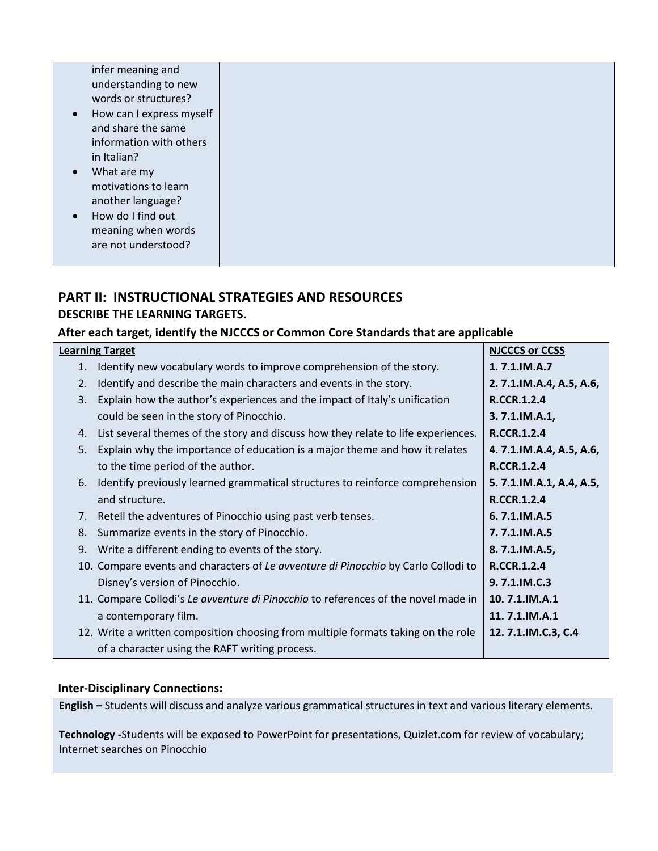|--|--|

# **PART II: INSTRUCTIONAL STRATEGIES AND RESOURCES DESCRIBE THE LEARNING TARGETS.**

# **After each target, identify the NJCCCS or Common Core Standards that are applicable**

| <b>Learning Target</b> |                                                                                    | <b>NJCCCS or CCSS</b>   |
|------------------------|------------------------------------------------------------------------------------|-------------------------|
| 1.                     | Identify new vocabulary words to improve comprehension of the story.               | $1.7.1$ , IM.A.7        |
| 2.                     | Identify and describe the main characters and events in the story.                 | 2.7.1.IM.A.4, A.5, A.6, |
| 3.                     | Explain how the author's experiences and the impact of Italy's unification         | R.CCR.1.2.4             |
|                        | could be seen in the story of Pinocchio.                                           | $3.7.1$ . IM.A.1,       |
| 4.                     | List several themes of the story and discuss how they relate to life experiences.  | <b>R.CCR.1.2.4</b>      |
| .5.                    | Explain why the importance of education is a major theme and how it relates        | 4.7.1.IM.A.4, A.5, A.6, |
|                        | to the time period of the author.                                                  | <b>R.CCR.1.2.4</b>      |
| 6.                     | Identify previously learned grammatical structures to reinforce comprehension      | 5.7.1.IM.A.1, A.4, A.5, |
|                        | and structure.                                                                     | R.CCR.1.2.4             |
| 7.                     | Retell the adventures of Pinocchio using past verb tenses.                         | 6.7.1.IM.A.5            |
| 8.                     | Summarize events in the story of Pinocchio.                                        | 7.7.1.IM.A.5            |
| 9.                     | Write a different ending to events of the story.                                   | 8.7.1.IM.A.5,           |
|                        | 10. Compare events and characters of Le avventure di Pinocchio by Carlo Collodi to | R.CCR.1.2.4             |
|                        | Disney's version of Pinocchio.                                                     | 9.7.1.IM.C.3            |
|                        | 11. Compare Collodi's Le avventure di Pinocchio to references of the novel made in | 10.7.1.IM.A.1           |
|                        | a contemporary film.                                                               | 11.7.1.IM.A.1           |
|                        | 12. Write a written composition choosing from multiple formats taking on the role  | 12.7.1.IM.C.3, C.4      |
|                        | of a character using the RAFT writing process.                                     |                         |

# **Inter-Disciplinary Connections:**

**English –** Students will discuss and analyze various grammatical structures in text and various literary elements.

**Technology -**Students will be exposed to PowerPoint for presentations, Quizlet.com for review of vocabulary; Internet searches on Pinocchio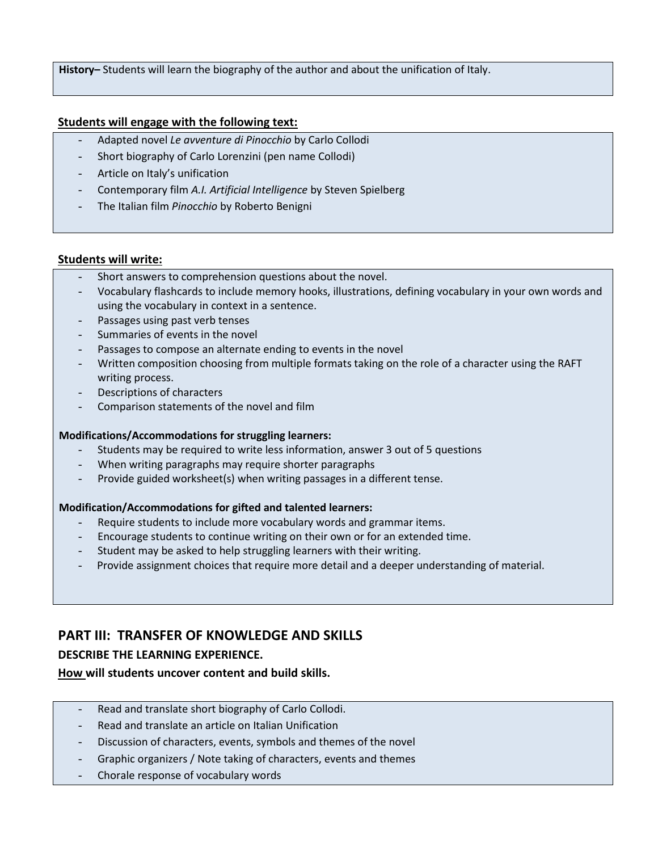**History–** Students will learn the biography of the author and about the unification of Italy.

#### **Students will engage with the following text:**

- Adapted novel *Le avventure di Pinocchio* by Carlo Collodi
- Short biography of Carlo Lorenzini (pen name Collodi)
- Article on Italy's unification
- Contemporary film *A.I. Artificial Intelligence* by Steven Spielberg
- The Italian film *Pinocchio* by Roberto Benigni

#### **Students will write:**

- Short answers to comprehension questions about the novel.
- Vocabulary flashcards to include memory hooks, illustrations, defining vocabulary in your own words and using the vocabulary in context in a sentence.
- Passages using past verb tenses
- Summaries of events in the novel
- Passages to compose an alternate ending to events in the novel
- Written composition choosing from multiple formats taking on the role of a character using the RAFT writing process.
- Descriptions of characters
- Comparison statements of the novel and film

#### **Modifications/Accommodations for struggling learners:**

- Students may be required to write less information, answer 3 out of 5 questions
- When writing paragraphs may require shorter paragraphs
- Provide guided worksheet(s) when writing passages in a different tense.

#### **Modification/Accommodations for gifted and talented learners:**

- Require students to include more vocabulary words and grammar items.
- Encourage students to continue writing on their own or for an extended time.
- Student may be asked to help struggling learners with their writing.
- Provide assignment choices that require more detail and a deeper understanding of material.

# **PART III: TRANSFER OF KNOWLEDGE AND SKILLS**

# **DESCRIBE THE LEARNING EXPERIENCE.**

**How will students uncover content and build skills.** 

- Read and translate short biography of Carlo Collodi.
- Read and translate an article on Italian Unification
- Discussion of characters, events, symbols and themes of the novel
- Graphic organizers / Note taking of characters, events and themes
- Chorale response of vocabulary words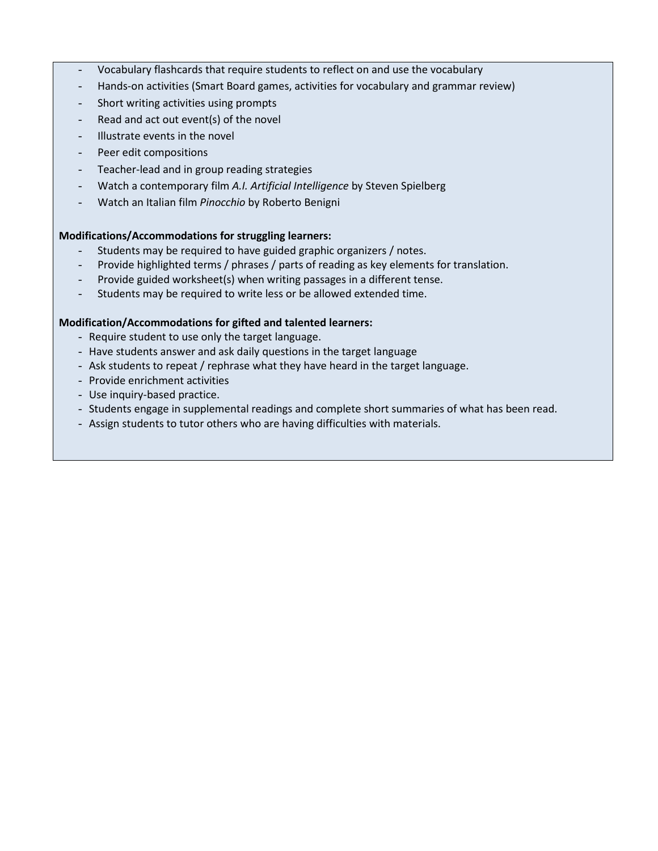- Vocabulary flashcards that require students to reflect on and use the vocabulary
- Hands-on activities (Smart Board games, activities for vocabulary and grammar review)
- Short writing activities using prompts
- Read and act out event(s) of the novel
- Illustrate events in the novel
- Peer edit compositions
- Teacher-lead and in group reading strategies
- Watch a contemporary film *A.I. Artificial Intelligence* by Steven Spielberg
- Watch an Italian film *Pinocchio* by Roberto Benigni

#### **Modifications/Accommodations for struggling learners:**

- Students may be required to have guided graphic organizers / notes.
- Provide highlighted terms / phrases / parts of reading as key elements for translation.
- Provide guided worksheet(s) when writing passages in a different tense.
- Students may be required to write less or be allowed extended time.

#### **Modification/Accommodations for gifted and talented learners:**

- Require student to use only the target language.
- Have students answer and ask daily questions in the target language
- Ask students to repeat / rephrase what they have heard in the target language.
- Provide enrichment activities
- Use inquiry-based practice.
- Students engage in supplemental readings and complete short summaries of what has been read.
- Assign students to tutor others who are having difficulties with materials.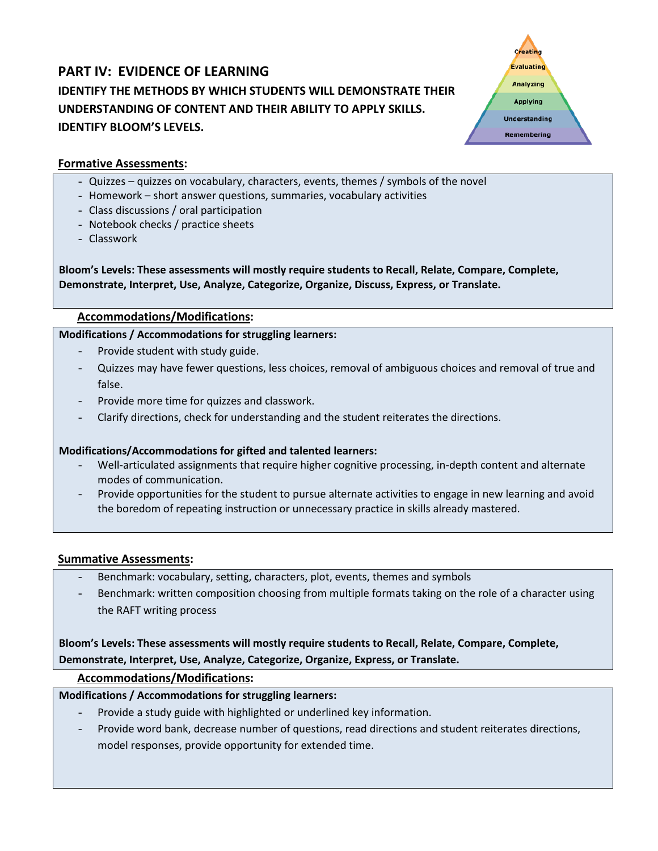# **PART IV: EVIDENCE OF LEARNING IDENTIFY THE METHODS BY WHICH STUDENTS WILL DEMONSTRATE THEIR UNDERSTANDING OF CONTENT AND THEIR ABILITY TO APPLY SKILLS. IDENTIFY BLOOM'S LEVELS.**



# **Formative Assessments:**

- Quizzes quizzes on vocabulary, characters, events, themes / symbols of the novel
- Homework short answer questions, summaries, vocabulary activities
- Class discussions / oral participation
- Notebook checks / practice sheets
- Classwork

**Bloom's Levels: These assessments will mostly require students to Recall, Relate, Compare, Complete, Demonstrate, Interpret, Use, Analyze, Categorize, Organize, Discuss, Express, or Translate.**

# **Accommodations/Modifications:**

#### **Modifications / Accommodations for struggling learners:**

- Provide student with study guide.
- Quizzes may have fewer questions, less choices, removal of ambiguous choices and removal of true and false.
- Provide more time for quizzes and classwork.
- Clarify directions, check for understanding and the student reiterates the directions.

# **Modifications/Accommodations for gifted and talented learners:**

- Well-articulated assignments that require higher cognitive processing, in-depth content and alternate modes of communication.
- Provide opportunities for the student to pursue alternate activities to engage in new learning and avoid the boredom of repeating instruction or unnecessary practice in skills already mastered.

#### **Summative Assessments:**

- Benchmark: vocabulary, setting, characters, plot, events, themes and symbols
- Benchmark: written composition choosing from multiple formats taking on the role of a character using the RAFT writing process

# **Bloom's Levels: These assessments will mostly require students to Recall, Relate, Compare, Complete, Demonstrate, Interpret, Use, Analyze, Categorize, Organize, Express, or Translate.**

# **Accommodations/Modifications:**

# **Modifications / Accommodations for struggling learners:**

- Provide a study guide with highlighted or underlined key information.
- Provide word bank, decrease number of questions, read directions and student reiterates directions, model responses, provide opportunity for extended time.